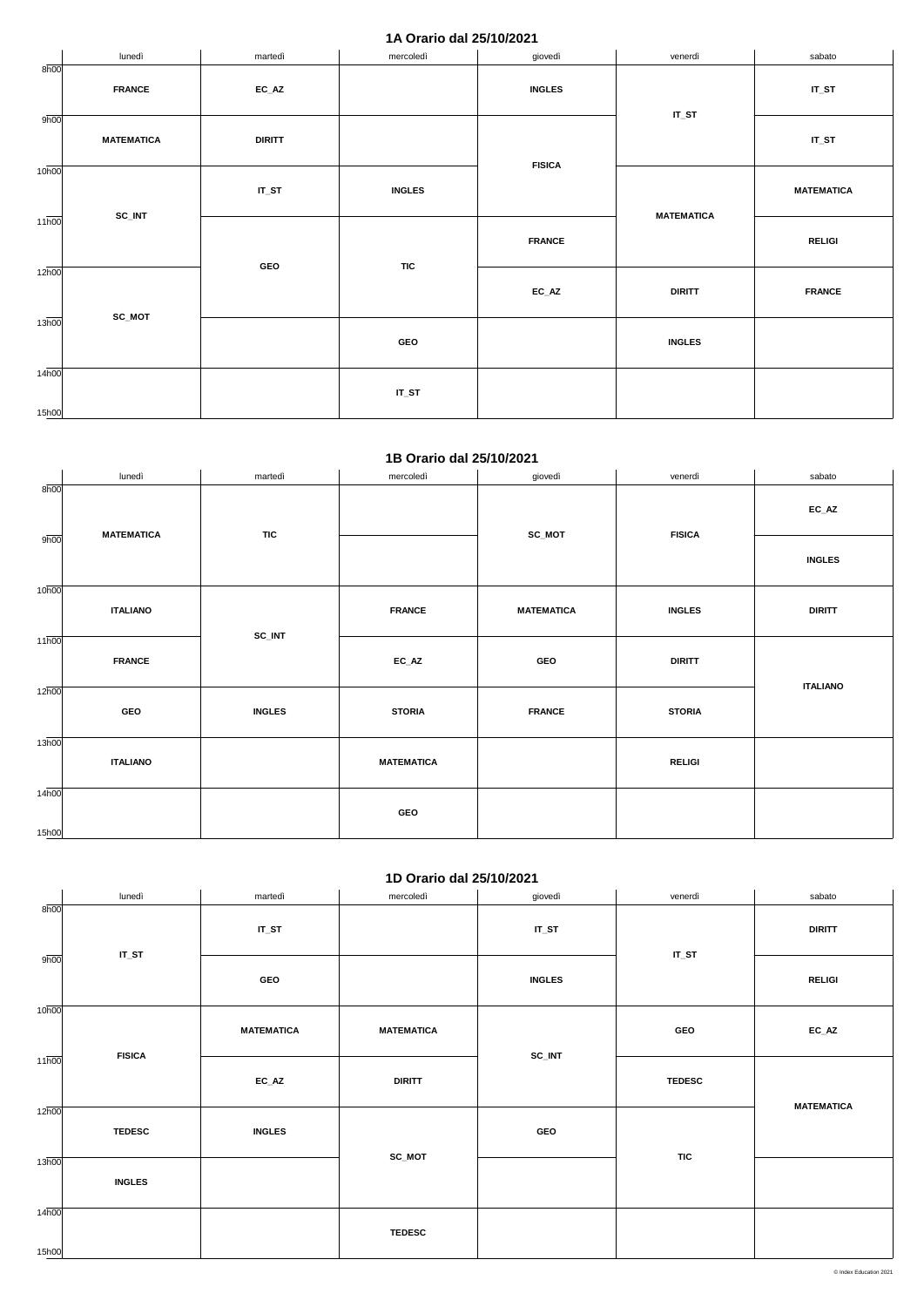#### **1A Orario dal 25/10/2021**

|                    | lunedì            | martedì       | mercoledì     | giovedì                    | venerdì           | sabato            |
|--------------------|-------------------|---------------|---------------|----------------------------|-------------------|-------------------|
| 8h00               | <b>FRANCE</b>     | $EC\_AZ$      |               | <b>INGLES</b>              | $IT_ST$           | $IT_ST$           |
| 9h00               | <b>MATEMATICA</b> | <b>DIRITT</b> |               | <b>FISICA</b>              |                   | $IT_ST$           |
| 10 <sub>h00</sub>  | SC_INT            | $IT_ST$       | <b>INGLES</b> | <b>FRANCE</b>              | <b>MATEMATICA</b> | <b>MATEMATICA</b> |
| $11\overline{h00}$ |                   |               |               |                            |                   | <b>RELIGI</b>     |
| $12\overline{h00}$ |                   | GEO           | <b>TIC</b>    | $\mathsf{EC}\_\mathsf{AZ}$ | <b>DIRITT</b>     | <b>FRANCE</b>     |
| $13\overline{h00}$ | SC_MOT            |               | GEO           |                            | <b>INGLES</b>     |                   |
| 14h00<br>15h00     |                   |               | $IT_ST$       |                            |                   |                   |

#### **1B Orario dal 25/10/2021**

|                            | lunedì            | martedì       | mercoledì         | giovedì           | venerdì       | sabato                     |
|----------------------------|-------------------|---------------|-------------------|-------------------|---------------|----------------------------|
| 8h00                       | <b>MATEMATICA</b> |               |                   | $SC_MOT$          |               | $\mathsf{EC}\_\mathsf{AZ}$ |
| 9h00                       |                   | <b>TIC</b>    |                   |                   | <b>FISICA</b> | <b>INGLES</b>              |
| 10 <sub>h00</sub>          | <b>ITALIANO</b>   | SC_INT        | <b>FRANCE</b>     | <b>MATEMATICA</b> | <b>INGLES</b> | <b>DIRITT</b>              |
| 11h00                      | <b>FRANCE</b>     |               | $EC\_AZ$          | GEO               | <b>DIRITT</b> |                            |
| 12h00                      | GEO               | <b>INGLES</b> | <b>STORIA</b>     | <b>FRANCE</b>     | <b>STORIA</b> | <b>ITALIANO</b>            |
| 13h00                      | <b>ITALIANO</b>   |               | <b>MATEMATICA</b> |                   | <b>RELIGI</b> |                            |
| 14 <sub>h00</sub><br>15h00 |                   |               | GEO               |                   |               |                            |

## **1D Orario dal 25/10/2021**

|                    | $1 - 0.4110$ and $-0.10110$ |                            |                   |               |               |                   |  |  |  |
|--------------------|-----------------------------|----------------------------|-------------------|---------------|---------------|-------------------|--|--|--|
|                    | lunedì                      | martedì                    | mercoledì         | giovedì       | venerdì       | sabato            |  |  |  |
| 8h00               |                             |                            |                   |               |               |                   |  |  |  |
|                    |                             | $IT_ST$                    |                   | $IT_ST$       |               | <b>DIRITT</b>     |  |  |  |
| 9 <sub>h00</sub>   | $IT_ST$                     |                            |                   |               | $IT_ST$       |                   |  |  |  |
|                    |                             | GEO                        |                   | <b>INGLES</b> |               | <b>RELIGI</b>     |  |  |  |
| 10 <sub>h00</sub>  |                             |                            |                   |               |               |                   |  |  |  |
|                    |                             | <b>MATEMATICA</b>          | <b>MATEMATICA</b> |               | GEO           | $EC\_AZ$          |  |  |  |
| $11\overline{h00}$ | <b>FISICA</b>               |                            |                   | SC_INT        |               |                   |  |  |  |
|                    |                             | $\mathsf{EC}\_\mathsf{AZ}$ | <b>DIRITT</b>     |               | <b>TEDESC</b> |                   |  |  |  |
|                    |                             |                            |                   |               |               |                   |  |  |  |
| 12 <sub>h00</sub>  |                             |                            |                   |               |               | <b>MATEMATICA</b> |  |  |  |
|                    | <b>TEDESC</b>               | <b>INGLES</b>              |                   | GEO           |               |                   |  |  |  |
| 13h00              |                             |                            | SC_MOT            |               | <b>TIC</b>    |                   |  |  |  |
|                    | <b>INGLES</b>               |                            |                   |               |               |                   |  |  |  |
|                    |                             |                            |                   |               |               |                   |  |  |  |
| 14h00              |                             |                            |                   |               |               |                   |  |  |  |
|                    |                             |                            | <b>TEDESC</b>     |               |               |                   |  |  |  |
| 15h00              |                             |                            |                   |               |               |                   |  |  |  |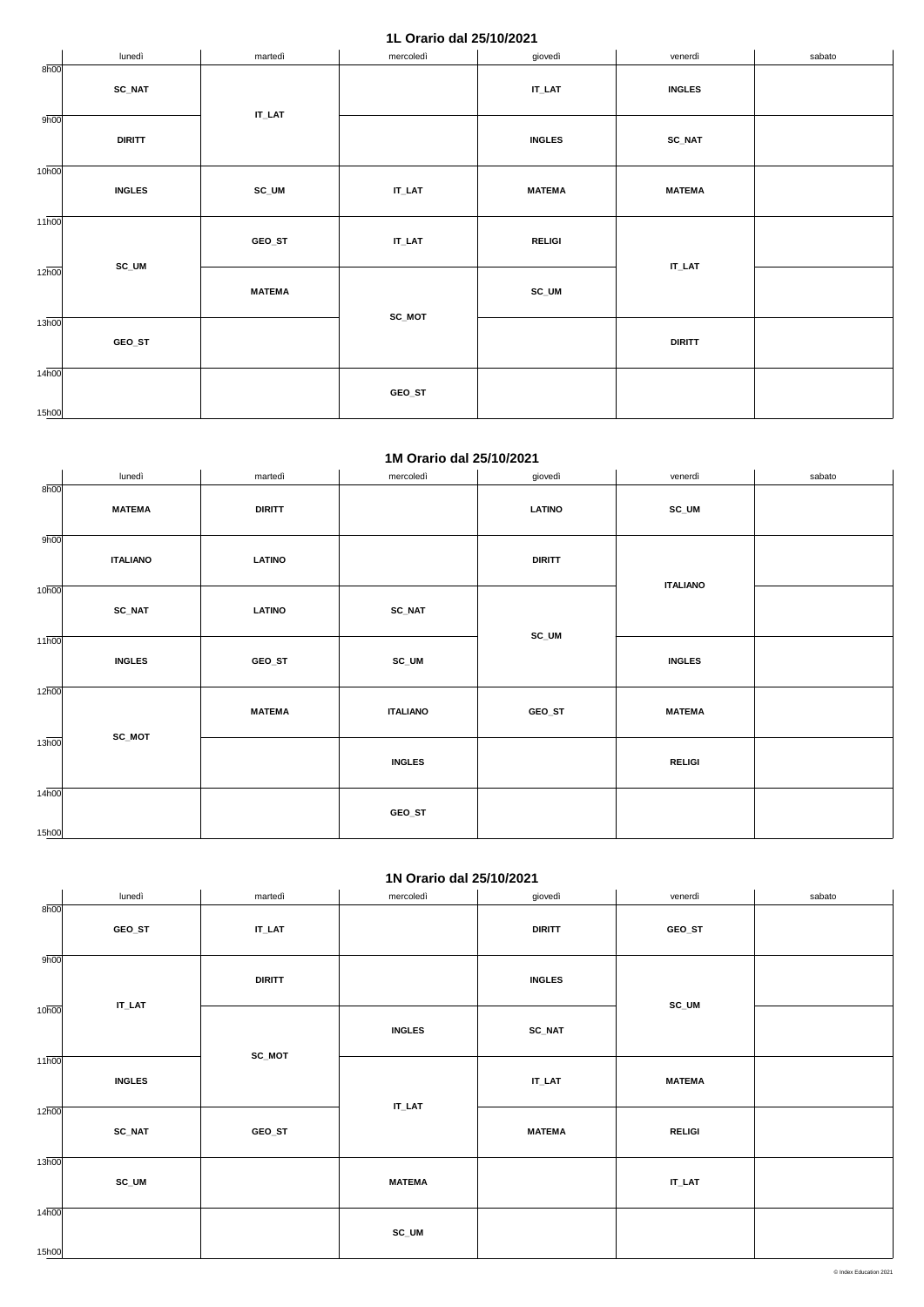#### **1L Orario dal 25/10/2021**

|                            | lunedì                                                            | martedì   | mercoledì     | giovedì       | venerdì       | sabato |
|----------------------------|-------------------------------------------------------------------|-----------|---------------|---------------|---------------|--------|
| 8h00                       | <b>SC_NAT</b>                                                     | $IT\_LAT$ |               | $IT\_LAT$     | <b>INGLES</b> |        |
| 9h00                       | <b>DIRITT</b>                                                     |           |               | <b>INGLES</b> | <b>SC_NAT</b> |        |
| 10 <sub>h00</sub>          | <b>INGLES</b>                                                     | SC_UM     | $IT\_LAT$     | <b>MATEMA</b> | <b>MATEMA</b> |        |
| $11\overline{h00}$         | GEO_ST<br>$IT\_LAT$<br>SC_UM<br><b>MATEMA</b><br>SC_MOT<br>GEO_ST |           |               | <b>RELIGI</b> | $IT$ _LAT     |        |
| $12\overline{h00}$         |                                                                   |           |               | SC_UM         |               |        |
| 13 <sub>h00</sub>          |                                                                   |           | <b>DIRITT</b> |               |               |        |
| 14 <sub>h00</sub><br>15h00 |                                                                   |           | GEO_ST        |               |               |        |

#### **1M Orario dal 25/10/2021**

|                    | lunedì          | martedì       | mercoledì       | giovedì       | venerdì         | sabato |
|--------------------|-----------------|---------------|-----------------|---------------|-----------------|--------|
| 8h00               | <b>MATEMA</b>   | <b>DIRITT</b> |                 | <b>LATINO</b> | SC_UM           |        |
|                    |                 |               |                 |               |                 |        |
| 9h00               |                 |               |                 |               |                 |        |
|                    | <b>ITALIANO</b> | <b>LATINO</b> |                 | <b>DIRITT</b> |                 |        |
| 10 <sub>h00</sub>  |                 |               |                 |               | <b>ITALIANO</b> |        |
|                    | <b>SC_NAT</b>   | <b>LATINO</b> | <b>SC_NAT</b>   |               |                 |        |
| $11\overline{h00}$ |                 |               |                 | $SC_UM$       |                 |        |
|                    | <b>INGLES</b>   | GEO_ST        | SC_UM           |               | <b>INGLES</b>   |        |
| 12 <sub>h00</sub>  |                 |               |                 |               |                 |        |
|                    |                 | <b>MATEMA</b> | <b>ITALIANO</b> | GEO_ST        | <b>MATEMA</b>   |        |
| 13h00              | SC_MOT          |               |                 |               |                 |        |
|                    |                 |               | <b>INGLES</b>   |               | <b>RELIGI</b>   |        |
| 14 <sub>h00</sub>  |                 |               |                 |               |                 |        |
|                    |                 |               | GEO_ST          |               |                 |        |
| 15h00              |                 |               |                 |               |                 |        |

## **1N Orario dal 25/10/2021**

|                   | $IT\_LAT$     |        |               |               | <b>SC_UM</b>  |  |
|-------------------|---------------|--------|---------------|---------------|---------------|--|
| 10 <sub>h00</sub> |               |        | <b>INGLES</b> | <b>SC_NAT</b> |               |  |
| 11h00             | <b>INGLES</b> | SC_MOT |               | $IT\_LAT$     | <b>MATEMA</b> |  |
| 12h00             | <b>SC_NAT</b> | GEO_ST | $IT$ _LAT     | <b>MATEMA</b> | <b>RELIGI</b> |  |
| 13h00             | SC_UM         |        | <b>MATEMA</b> |               | $IT\_LAT$     |  |
| 14h00<br>15h00    |               |        | SC_UM         |               |               |  |

|      | lunedì | martedì       | mercoledì | giovedì       | venerdì | sabato |
|------|--------|---------------|-----------|---------------|---------|--------|
| 8h00 |        |               |           |               |         |        |
|      | GEO_ST | IT_LAT        |           | <b>DIRITT</b> | GEO_ST  |        |
| 9h00 |        |               |           |               |         |        |
|      |        | <b>DIRITT</b> |           | <b>INGLES</b> |         |        |

© Index Education 2021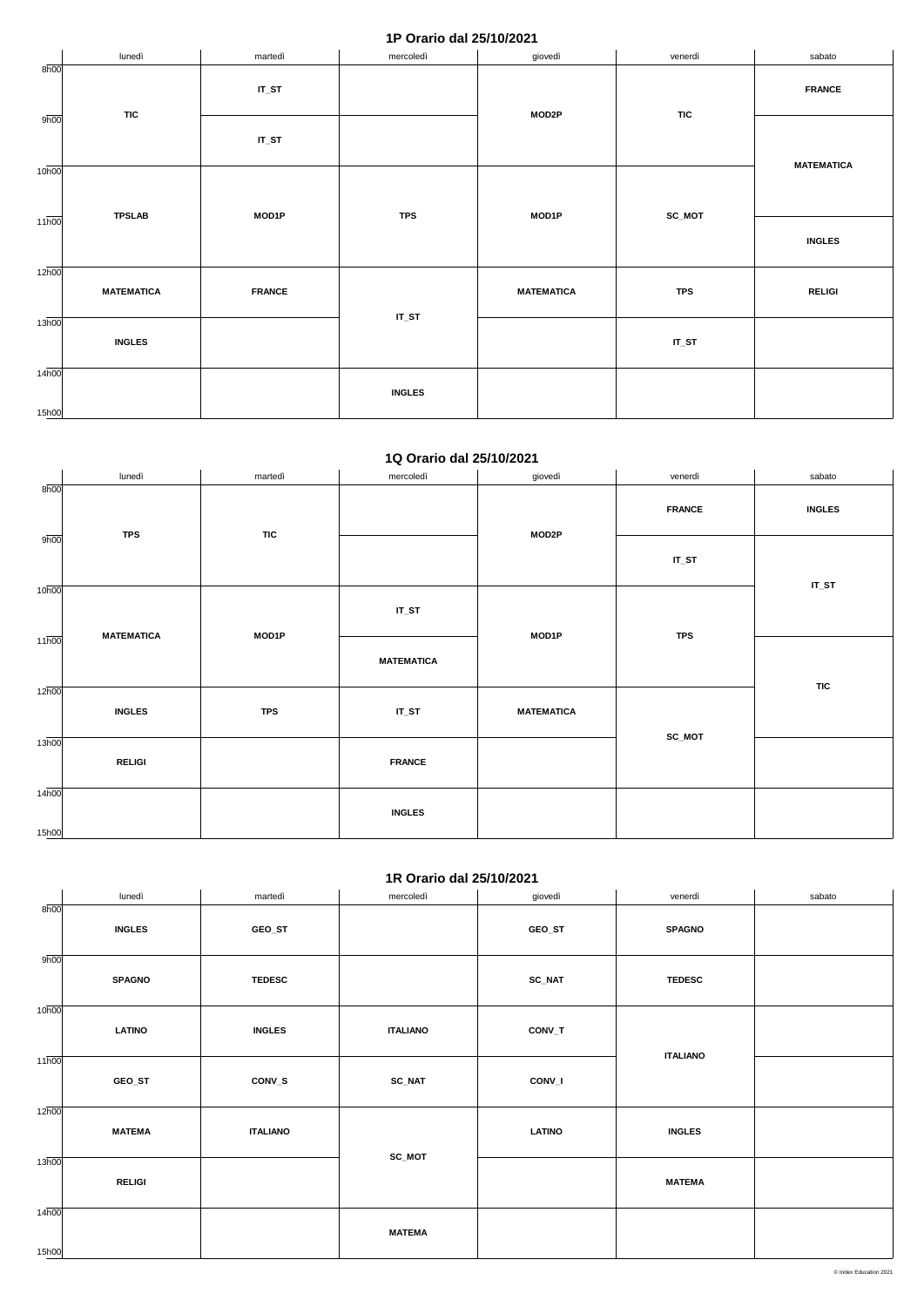### **1P Orario dal 25/10/2021**

|                    | lunedì            | martedì       | mercoledì     | giovedì           | venerdì    | sabato            |
|--------------------|-------------------|---------------|---------------|-------------------|------------|-------------------|
| 8h00<br>9h00       | <b>TIC</b>        | $IT_ST$       |               | MOD2P             | <b>TIC</b> | <b>FRANCE</b>     |
|                    |                   | $IT_ST$       |               |                   |            | <b>MATEMATICA</b> |
| 10 <sub>h00</sub>  |                   |               |               |                   |            |                   |
| $11\overline{h00}$ | <b>TPSLAB</b>     | MOD1P         | <b>TPS</b>    | MOD1P             | SC_MOT     |                   |
|                    |                   |               |               |                   |            | <b>INGLES</b>     |
| $12\overline{h00}$ |                   |               |               |                   |            |                   |
|                    | <b>MATEMATICA</b> | <b>FRANCE</b> |               | <b>MATEMATICA</b> | <b>TPS</b> | <b>RELIGI</b>     |
| 13 <sub>h00</sub>  | <b>INGLES</b>     |               | $IT_ST$       |                   | $IT_ST$    |                   |
| 14 <sub>h00</sub>  |                   |               |               |                   |            |                   |
|                    |                   |               | <b>INGLES</b> |                   |            |                   |
| 15h00              |                   |               |               |                   |            |                   |

#### **1Q Orario dal 25/10/2021**

|                    | lunedì            | martedì    | mercoledì         | giovedì           | venerdì       | sabato        |
|--------------------|-------------------|------------|-------------------|-------------------|---------------|---------------|
| 8h00               |                   |            |                   | MOD2P             | <b>FRANCE</b> | <b>INGLES</b> |
| 9h00               | <b>TPS</b>        | <b>TIC</b> |                   |                   | $IT_ST$       | $IT_ST$       |
| 10 <sub>h00</sub>  |                   |            | $IT_ST$           | MOD1P             | <b>TPS</b>    |               |
| $11\overline{h00}$ | <b>MATEMATICA</b> | MOD1P      | <b>MATEMATICA</b> |                   |               |               |
| $12\overline{h00}$ |                   |            |                   |                   |               | <b>TIC</b>    |
|                    | <b>INGLES</b>     | <b>TPS</b> | $IT_ST$           | <b>MATEMATICA</b> |               |               |
| 13h00              | <b>RELIGI</b>     |            | <b>FRANCE</b>     |                   | SC_MOT        |               |
| 14 <sub>h00</sub>  |                   |            | <b>INGLES</b>     |                   |               |               |
| 15h00              |                   |            |                   |                   |               |               |

## **1R Orario dal 25/10/2021**

|       | lunedì        | martedì         | mercoledì       | giovedì       | venerdì         | sabato |
|-------|---------------|-----------------|-----------------|---------------|-----------------|--------|
| 8h00  |               |                 |                 |               |                 |        |
|       | <b>INGLES</b> | GEO_ST          |                 | GEO_ST        | <b>SPAGNO</b>   |        |
|       |               |                 |                 |               |                 |        |
| 9h00  |               |                 |                 |               |                 |        |
|       |               |                 |                 |               |                 |        |
|       | <b>SPAGNO</b> | <b>TEDESC</b>   |                 | <b>SC_NAT</b> | <b>TEDESC</b>   |        |
|       |               |                 |                 |               |                 |        |
| 10h00 |               |                 |                 |               |                 |        |
|       | <b>LATINO</b> | <b>INGLES</b>   | <b>ITALIANO</b> | CONV_T        |                 |        |
|       |               |                 |                 |               |                 |        |
| 11h00 |               |                 |                 |               | <b>ITALIANO</b> |        |
|       |               |                 |                 |               |                 |        |
|       | GEO_ST        | CONV_S          | <b>SC_NAT</b>   | CONV_I        |                 |        |
|       |               |                 |                 |               |                 |        |
| 12h00 |               |                 |                 |               |                 |        |
|       | <b>MATEMA</b> | <b>ITALIANO</b> |                 | <b>LATINO</b> | <b>INGLES</b>   |        |
|       |               |                 |                 |               |                 |        |
| 13h00 |               |                 | SC_MOT          |               |                 |        |
|       |               |                 |                 |               |                 |        |
|       | <b>RELIGI</b> |                 |                 |               | <b>MATEMA</b>   |        |
|       |               |                 |                 |               |                 |        |
| 14h00 |               |                 |                 |               |                 |        |
|       |               |                 | <b>MATEMA</b>   |               |                 |        |
|       |               |                 |                 |               |                 |        |
| 15h00 |               |                 |                 |               |                 |        |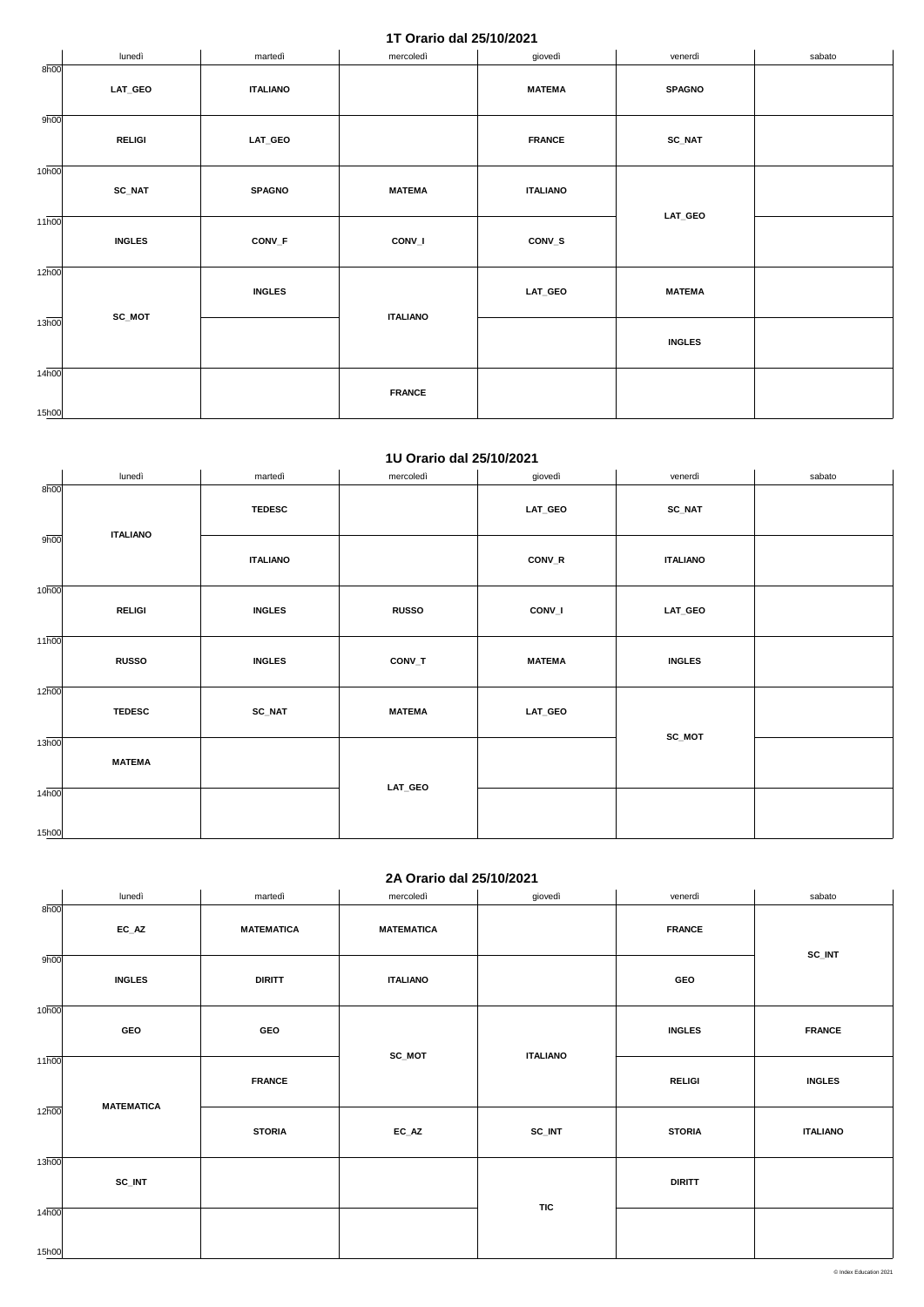## **1T Orario dal 25/10/2021**

|                    | lunedì        | martedì         | mercoledì       | giovedì         | venerdì       | sabato |
|--------------------|---------------|-----------------|-----------------|-----------------|---------------|--------|
| 8h00               | LAT_GEO       | <b>ITALIANO</b> |                 | <b>MATEMA</b>   | <b>SPAGNO</b> |        |
|                    |               |                 |                 |                 |               |        |
| 9h00               | <b>RELIGI</b> | <b>LAT_GEO</b>  |                 | <b>FRANCE</b>   | $SC\_NAT$     |        |
| 10 <sub>h00</sub>  |               |                 |                 |                 |               |        |
|                    | $SC\_NAT$     | <b>SPAGNO</b>   | <b>MATEMA</b>   | <b>ITALIANO</b> |               |        |
| $11\overline{h00}$ |               |                 |                 |                 | LAT_GEO       |        |
|                    | <b>INGLES</b> | CONV_F          | CONV_I          | CONV_S          |               |        |
| 12 <sub>h00</sub>  |               |                 |                 |                 |               |        |
|                    |               | <b>INGLES</b>   |                 | LAT_GEO         | <b>MATEMA</b> |        |
| $13\overline{h00}$ | SC_MOT        |                 | <b>ITALIANO</b> |                 |               |        |
|                    |               |                 |                 |                 | <b>INGLES</b> |        |
| 14 <sub>h00</sub>  |               |                 |                 |                 |               |        |
|                    |               |                 | <b>FRANCE</b>   |                 |               |        |
| 15h00              |               |                 |                 |                 |               |        |

#### **1U Orario dal 25/10/2021**

|                    | lunedì          | martedì         | mercoledì     | giovedì       | venerdì         | sabato |
|--------------------|-----------------|-----------------|---------------|---------------|-----------------|--------|
| 8h00               | <b>ITALIANO</b> | <b>TEDESC</b>   |               | LAT_GEO       | <b>SC_NAT</b>   |        |
| 9h00               |                 | <b>ITALIANO</b> |               | CONV_R        | <b>ITALIANO</b> |        |
| 10 <sub>h00</sub>  | <b>RELIGI</b>   | <b>INGLES</b>   | <b>RUSSO</b>  | CONV_I        | LAT_GEO         |        |
| $11\overline{h00}$ | <b>RUSSO</b>    | <b>INGLES</b>   | CONV_T        | <b>MATEMA</b> | <b>INGLES</b>   |        |
| 12 <sub>h00</sub>  | <b>TEDESC</b>   | <b>SC_NAT</b>   | <b>MATEMA</b> | LAT_GEO       |                 |        |
| 13h00              | <b>MATEMA</b>   |                 |               |               | SC_MOT          |        |
| 14h00<br>15h00     |                 |                 | LAT_GEO       |               |                 |        |
|                    |                 |                 |               |               |                 |        |

## **2A Orario dal 25/10/2021**

|                            | lunedì            | martedì           | mercoledì         | giovedì         | venerdì       | sabato          |
|----------------------------|-------------------|-------------------|-------------------|-----------------|---------------|-----------------|
| 8h00                       | $EC\_AZ$          | <b>MATEMATICA</b> | <b>MATEMATICA</b> |                 | <b>FRANCE</b> |                 |
| 9h00                       | <b>INGLES</b>     | <b>DIRITT</b>     | <b>ITALIANO</b>   |                 | GEO           | SC_INT          |
| 10 <sub>h00</sub>          | GEO               | GEO               | SC_MOT            | <b>ITALIANO</b> | <b>INGLES</b> | <b>FRANCE</b>   |
| $11\overline{h00}$         | <b>MATEMATICA</b> | <b>FRANCE</b>     |                   |                 | <b>RELIGI</b> | <b>INGLES</b>   |
| 12 <sub>h00</sub>          |                   | <b>STORIA</b>     | $EC\_AZ$          | SC_INT          | <b>STORIA</b> | <b>ITALIANO</b> |
| 13h00                      | SC_INT            |                   |                   |                 | <b>DIRITT</b> |                 |
| 14 <sub>h00</sub><br>15h00 |                   |                   |                   | <b>TIC</b>      |               |                 |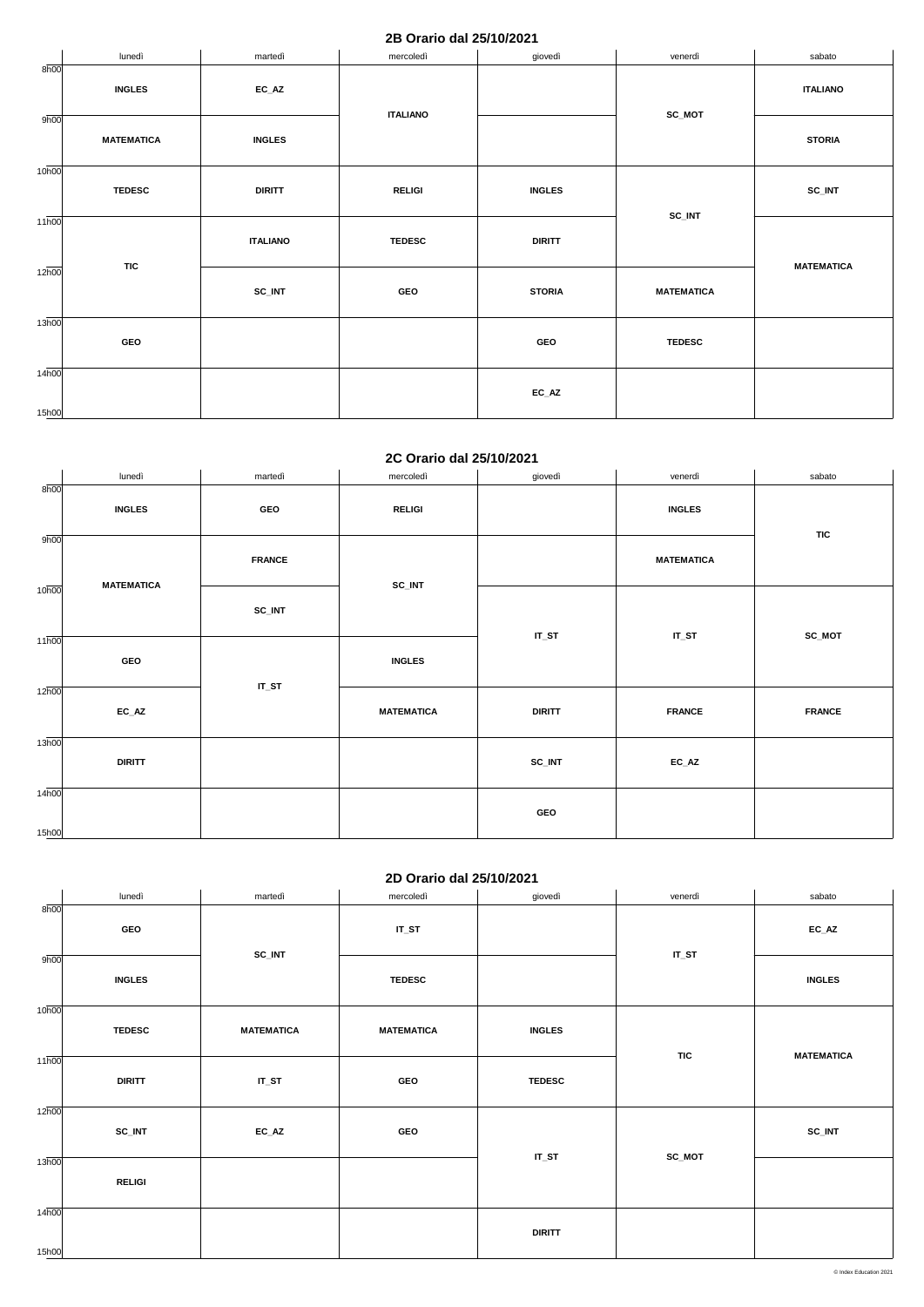### **2B Orario dal 25/10/2021**

|                             | lunedì            | martedì         | mercoledì       | giovedì       | venerdì           | sabato            |
|-----------------------------|-------------------|-----------------|-----------------|---------------|-------------------|-------------------|
| 8h00                        | <b>INGLES</b>     | $EC_AZ$         |                 |               | SC_MOT            | <b>ITALIANO</b>   |
| 9h00                        | <b>MATEMATICA</b> | <b>INGLES</b>   | <b>ITALIANO</b> |               |                   | <b>STORIA</b>     |
| 10 <sub>h00</sub>           | <b>TEDESC</b>     | <b>DIRITT</b>   | <b>RELIGI</b>   | <b>INGLES</b> | SC_INT            | SC_INT            |
| $11\overline{h00}$          |                   | <b>ITALIANO</b> | <b>TEDESC</b>   | <b>DIRITT</b> |                   |                   |
| 12 <sub>h00</sub>           | <b>TIC</b>        | SC_INT          | GEO             | <b>STORIA</b> | <b>MATEMATICA</b> | <b>MATEMATICA</b> |
| 13h00                       | GEO               |                 |                 | GEO           | <b>TEDESC</b>     |                   |
| $14\overline{h00}$<br>15h00 |                   |                 |                 | $EC\_AZ$      |                   |                   |

#### **2C Orario dal 25/10/2021**

|                   | lunedì            | martedì       | mercoledì         | giovedì       | venerdì           | sabato        |
|-------------------|-------------------|---------------|-------------------|---------------|-------------------|---------------|
| 8h00              | <b>INGLES</b>     | GEO           | <b>RELIGI</b>     |               | <b>INGLES</b>     |               |
| 9h00              | <b>MATEMATICA</b> | <b>FRANCE</b> | SC_INT            |               | <b>MATEMATICA</b> | <b>TIC</b>    |
| 10 <sub>h00</sub> |                   | SC_INT        |                   | $IT_ST$       | $IT_ST$           | SC_MOT        |
| 11h00             | GEO               |               | <b>INGLES</b>     |               |                   |               |
| 12h00             | $EC\_AZ$          | $IT_ST$       | <b>MATEMATICA</b> | <b>DIRITT</b> | <b>FRANCE</b>     | <b>FRANCE</b> |
| 13h00             | <b>DIRITT</b>     |               |                   | SC_INT        | $EC\_AZ$          |               |
| 14h00<br>15h00    |                   |               |                   | GEO           |                   |               |

## **2D Orario dal 25/10/2021**

|                   | lunedì        | martedì           | mercoledì         | giovedì       | venerdì    | sabato            |  |  |  |
|-------------------|---------------|-------------------|-------------------|---------------|------------|-------------------|--|--|--|
| 8h00              | GEO           | SC_INT            | $IT_ST$           |               | $IT_ST$    | $EC\_AZ$          |  |  |  |
| 9h00              | <b>INGLES</b> |                   | <b>TEDESC</b>     |               |            | <b>INGLES</b>     |  |  |  |
| 10 <sub>h00</sub> | <b>TEDESC</b> | <b>MATEMATICA</b> | <b>MATEMATICA</b> | <b>INGLES</b> | <b>TIC</b> | <b>MATEMATICA</b> |  |  |  |
| 11h00             | <b>DIRITT</b> | $IT_ST$           | GEO               | <b>TEDESC</b> |            |                   |  |  |  |
| 12h00             | SC_INT        | $EC_AZ$           | GEO               | $IT_ST$       | SC_MOT     | SC_INT            |  |  |  |
| 13h00             | <b>RELIGI</b> |                   |                   |               |            |                   |  |  |  |
| 14h00<br>15h00    |               |                   |                   | <b>DIRITT</b> |            |                   |  |  |  |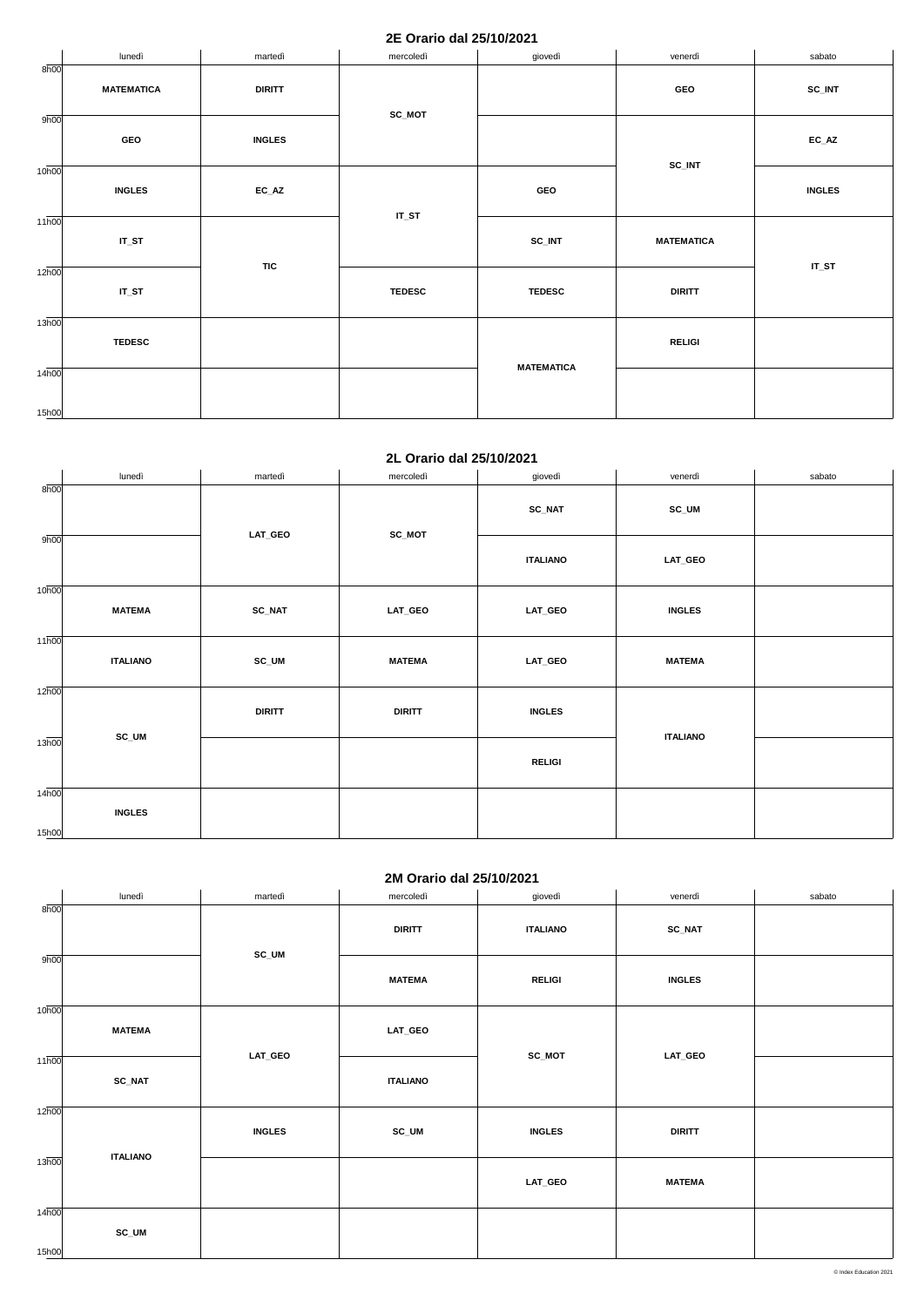### **2E Orario dal 25/10/2021**

|                             | lunedì            | martedì       | mercoledì     | giovedì           | venerdì           | sabato        |
|-----------------------------|-------------------|---------------|---------------|-------------------|-------------------|---------------|
| 8h00                        | <b>MATEMATICA</b> | <b>DIRITT</b> | SC_MOT        |                   | GEO               | SC_INT        |
| 9h00                        | GEO               | <b>INGLES</b> |               |                   |                   | $EC\_AZ$      |
| 10 <sub>h00</sub>           | <b>INGLES</b>     | $EC\_AZ$      | $IT_ST$       | GEO               | SC_INT            | <b>INGLES</b> |
| 11h00                       | $IT_ST$           |               |               | SC_INT            | <b>MATEMATICA</b> |               |
| $12\overline{h00}$          | $IT_ST$           | <b>TIC</b>    | <b>TEDESC</b> | <b>TEDESC</b>     | <b>DIRITT</b>     | $IT_ST$       |
| $13\overline{h00}$          | <b>TEDESC</b>     |               |               | <b>MATEMATICA</b> | <b>RELIGI</b>     |               |
| $14\overline{h00}$<br>15h00 |                   |               |               |                   |                   |               |

### **2L Orario dal 25/10/2021**

|                   | lunedì          | martedì       | mercoledì     | giovedì         | venerdì         | sabato |
|-------------------|-----------------|---------------|---------------|-----------------|-----------------|--------|
| 8h00              |                 |               | <b>SC_NAT</b> | SC_UM           |                 |        |
| 9h00              |                 | LAT_GEO       | SC_MOT        | <b>ITALIANO</b> | LAT_GEO         |        |
| 10 <sub>h00</sub> | <b>MATEMA</b>   | <b>SC_NAT</b> | LAT_GEO       | LAT_GEO         | <b>INGLES</b>   |        |
| 11h00             | <b>ITALIANO</b> | SC_UM         | <b>MATEMA</b> | LAT_GEO         | <b>MATEMA</b>   |        |
| 12h00             |                 | <b>DIRITT</b> | <b>DIRITT</b> | <b>INGLES</b>   | <b>ITALIANO</b> |        |
| 13 <sub>h00</sub> | SC_UM           |               |               | <b>RELIGI</b>   |                 |        |
| 14h00<br>15h00    | <b>INGLES</b>   |               |               |                 |                 |        |

## **2M Orario dal 25/10/2021**

|                   | lunedì          | martedì       | mercoledì       | giovedì         | venerdì       | sabato |
|-------------------|-----------------|---------------|-----------------|-----------------|---------------|--------|
| 8h00              |                 | SC_UM         | <b>DIRITT</b>   | <b>ITALIANO</b> | <b>SC_NAT</b> |        |
| 9h00              |                 |               | <b>MATEMA</b>   | <b>RELIGI</b>   | <b>INGLES</b> |        |
| 10 <sub>h00</sub> | <b>MATEMA</b>   |               | LAT_GEO         | SC_MOT          | LAT_GEO       |        |
| 11 <sub>h00</sub> | <b>SC_NAT</b>   | LAT_GEO       | <b>ITALIANO</b> |                 |               |        |
| 12h00             | <b>ITALIANO</b> | <b>INGLES</b> | SC_UM           | <b>INGLES</b>   | <b>DIRITT</b> |        |
| 13h00             |                 |               |                 | LAT_GEO         | <b>MATEMA</b> |        |
| 14h00<br>15h00    | SC_UM           |               |                 |                 |               |        |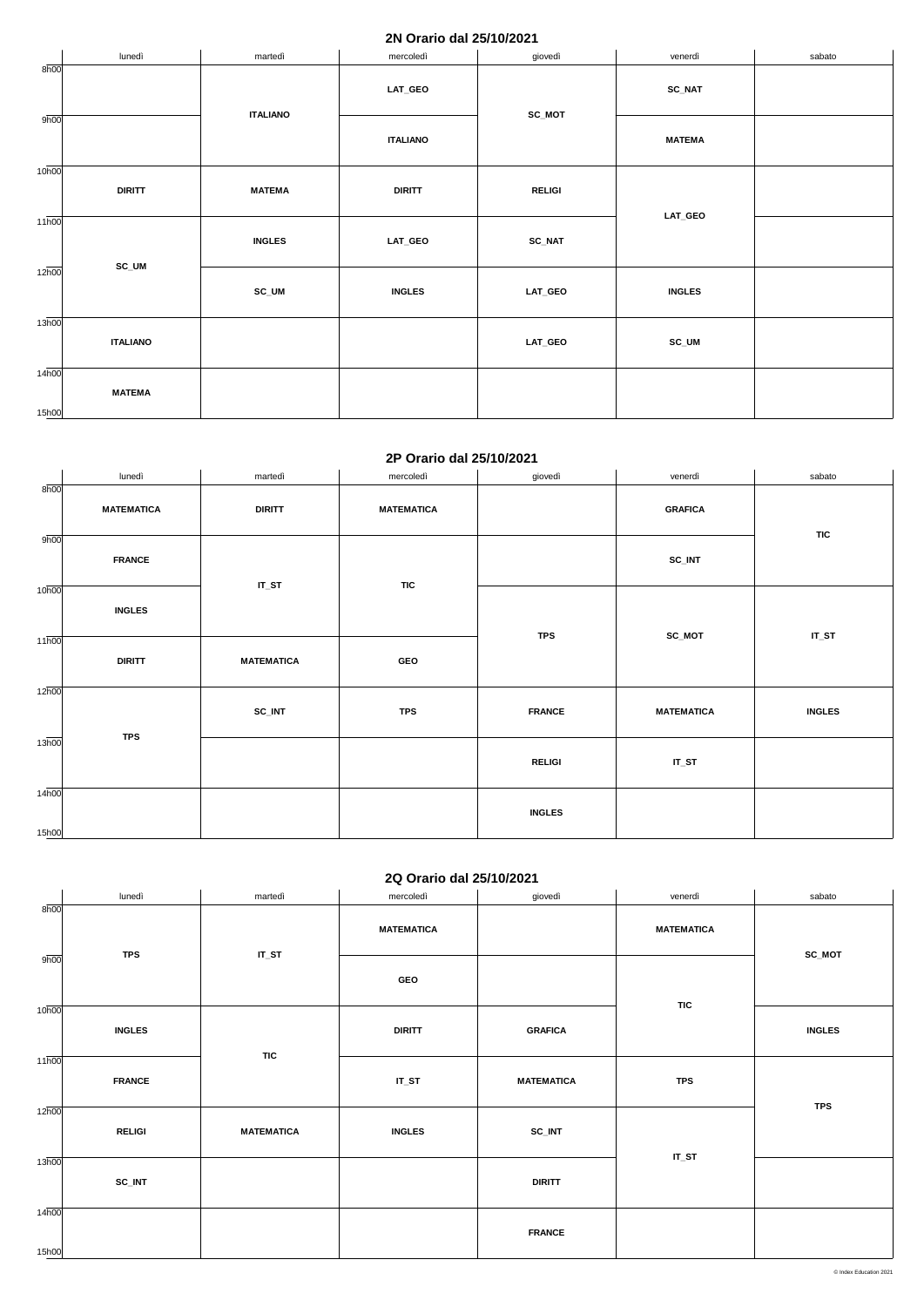#### **2N Orario dal 25/10/2021**

|                            | lunedì          | martedì         | mercoledì       | giovedì       | venerdì                                                 | sabato |
|----------------------------|-----------------|-----------------|-----------------|---------------|---------------------------------------------------------|--------|
| 8h00                       |                 |                 | LAT_GEO         | $SC_MOT$      | $SC\_NAT$                                               |        |
| 9h00                       |                 | <b>ITALIANO</b> | <b>ITALIANO</b> |               | <b>MATEMA</b>                                           |        |
| 10 <sub>h00</sub>          | <b>DIRITT</b>   | <b>MATEMA</b>   | <b>DIRITT</b>   | <b>RELIGI</b> | $\ensuremath{\mathsf{LAT}\xspace_\text{-}\mathsf{GEO}}$ |        |
| $11\overline{h00}$         |                 | <b>INGLES</b>   | LAT_GEO         | $SC\_NAT$     |                                                         |        |
| $12\overline{h00}$         | SC_UM           | SC_UM           | <b>INGLES</b>   | LAT_GEO       | <b>INGLES</b>                                           |        |
| 13 <sub>h00</sub>          | <b>ITALIANO</b> |                 |                 | LAT_GEO       | SC_UM                                                   |        |
| 14 <sub>h00</sub><br>15h00 | <b>MATEMA</b>   |                 |                 |               |                                                         |        |

#### **2P Orario dal 25/10/2021**

|                    | lunedì            | martedì           | mercoledì         | giovedì       | venerdì           | sabato        |
|--------------------|-------------------|-------------------|-------------------|---------------|-------------------|---------------|
| 8h00               |                   |                   |                   |               |                   |               |
|                    | <b>MATEMATICA</b> | <b>DIRITT</b>     | <b>MATEMATICA</b> |               | <b>GRAFICA</b>    |               |
|                    |                   |                   |                   |               |                   | <b>TIC</b>    |
| 9h00               |                   |                   |                   |               |                   |               |
|                    | <b>FRANCE</b>     |                   |                   |               | SC_INT            |               |
|                    |                   | $IT_ST$           | <b>TIC</b>        |               |                   |               |
| 10 <sub>h00</sub>  |                   |                   |                   |               |                   |               |
|                    | <b>INGLES</b>     |                   |                   |               |                   |               |
|                    |                   |                   |                   | <b>TPS</b>    | SC_MOT            | $IT_ST$       |
| $11\overline{h00}$ |                   |                   |                   |               |                   |               |
|                    | <b>DIRITT</b>     | <b>MATEMATICA</b> | GEO               |               |                   |               |
| 12h00              |                   |                   |                   |               |                   |               |
|                    |                   |                   |                   |               |                   |               |
|                    |                   | SC_INT            | <b>TPS</b>        | <b>FRANCE</b> | <b>MATEMATICA</b> | <b>INGLES</b> |
| 13 <sub>h00</sub>  | <b>TPS</b>        |                   |                   |               |                   |               |
|                    |                   |                   |                   | <b>RELIGI</b> | $IT_ST$           |               |
|                    |                   |                   |                   |               |                   |               |
| 14h00              |                   |                   |                   |               |                   |               |
|                    |                   |                   |                   | <b>INGLES</b> |                   |               |
| 15h00              |                   |                   |                   |               |                   |               |

## **2Q Orario dal 25/10/2021**

|                          | lunedì     | martedì | mercoledì  | giovedì | venerdì           | sabato |
|--------------------------|------------|---------|------------|---------|-------------------|--------|
| 8h00                     |            |         |            |         |                   |        |
| $\overline{\phantom{a}}$ |            |         | MATEMATICA |         | <b>MATEMATICA</b> |        |
| 9h00                     | <b>TPS</b> | IT_ST   |            |         |                   | SC_MOT |
|                          |            |         | <b>GEO</b> |         |                   |        |

|                    |               |                   | $  -$         |                   |            |               |
|--------------------|---------------|-------------------|---------------|-------------------|------------|---------------|
| 10 <sub>h00</sub>  | <b>INGLES</b> | <b>TIC</b>        | <b>DIRITT</b> | <b>GRAFICA</b>    | <b>TIC</b> | <b>INGLES</b> |
| $11\overline{h00}$ | <b>FRANCE</b> |                   | $IT_ST$       | <b>MATEMATICA</b> | <b>TPS</b> | <b>TPS</b>    |
| 12h00              | <b>RELIGI</b> | <b>MATEMATICA</b> | <b>INGLES</b> | SC_INT            | $IT_ST$    |               |
| 13h00              | SC_INT        |                   |               | <b>DIRITT</b>     |            |               |
| 14h00<br>15h00     |               |                   |               | <b>FRANCE</b>     |            |               |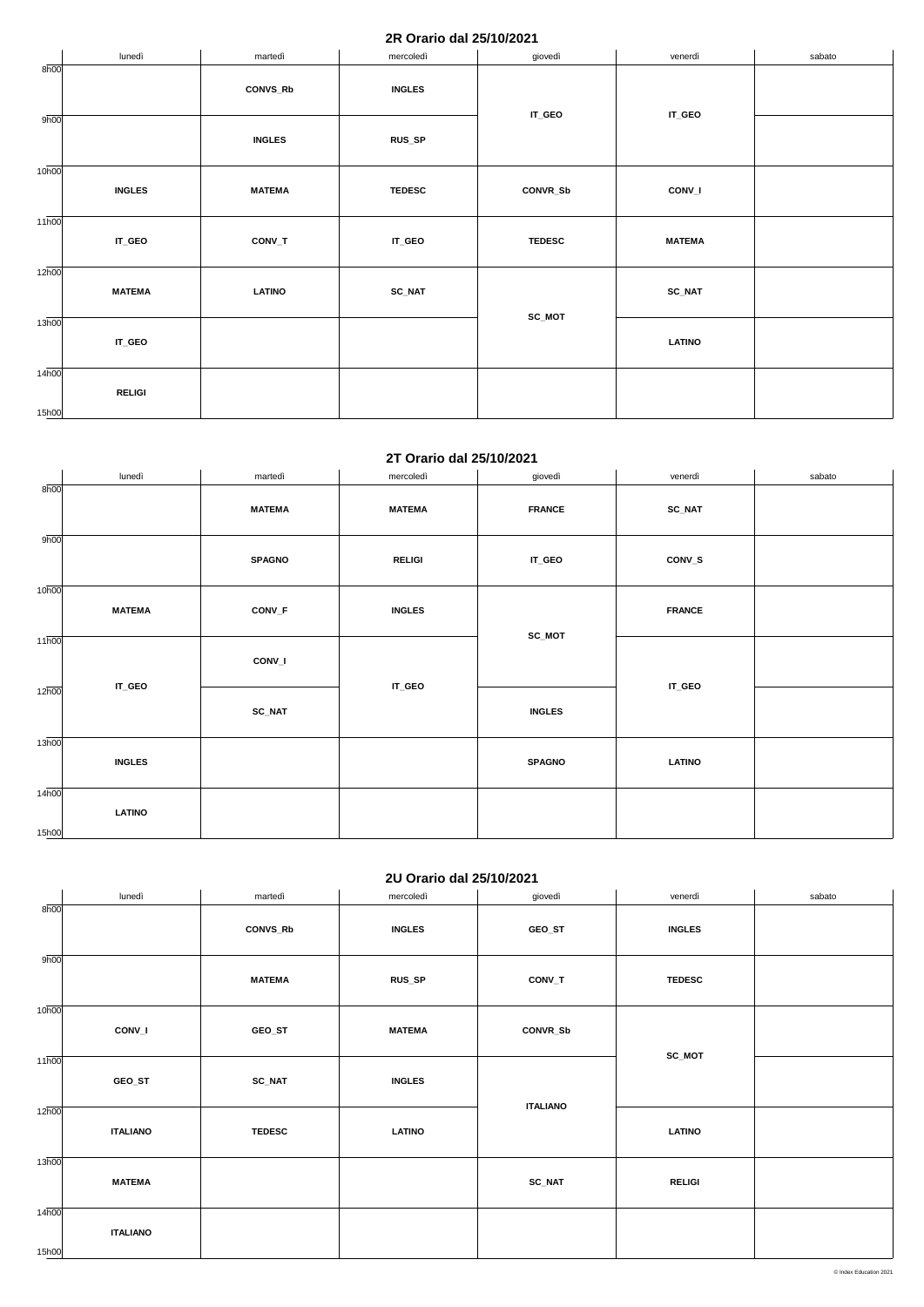### **2R Orario dal 25/10/2021**

|                             | lunedì        | martedì         | mercoledì     | giovedì            | venerdì       | sabato |
|-----------------------------|---------------|-----------------|---------------|--------------------|---------------|--------|
| 8h00                        |               | <b>CONVS_Rb</b> | <b>INGLES</b> | $\mathsf{IT\_GEO}$ | IT_GEO        |        |
| 9h00                        |               | <b>INGLES</b>   | RUS_SP        |                    |               |        |
| 10 <sub>h00</sub>           | <b>INGLES</b> | <b>MATEMA</b>   | <b>TEDESC</b> | CONVR_Sb           | CONV_I        |        |
| $11\overline{h00}$          | IT_GEO        | CONV_T          | IT_GEO        | <b>TEDESC</b>      | <b>MATEMA</b> |        |
| $12\overline{h00}$          | <b>MATEMA</b> | <b>LATINO</b>   | <b>SC_NAT</b> |                    | <b>SC_NAT</b> |        |
| 13 <sub>h00</sub>           | IT_GEO        |                 |               | SC_MOT             | <b>LATINO</b> |        |
| $14\overline{h00}$<br>15h00 | <b>RELIGI</b> |                 |               |                    |               |        |

#### **2T Orario dal 25/10/2021**

|                   | lunedì        | martedì       | mercoledì     | giovedì       | venerdì       | sabato |
|-------------------|---------------|---------------|---------------|---------------|---------------|--------|
| 8h00              |               | <b>MATEMA</b> | <b>MATEMA</b> | <b>FRANCE</b> | <b>SC_NAT</b> |        |
| 9h00              |               | <b>SPAGNO</b> | <b>RELIGI</b> | IT_GEO        | CONV_S        |        |
| 10 <sub>h00</sub> | <b>MATEMA</b> | CONV_F        | <b>INGLES</b> |               | <b>FRANCE</b> |        |
| 11h00             |               | CONV_I        |               | $SC_MOT$      |               |        |
| 12h00             | IT_GEO        | SC_NAT        | IT_GEO        | <b>INGLES</b> | IT_GEO        |        |
| 13h00             | <b>INGLES</b> |               |               | <b>SPAGNO</b> | <b>LATINO</b> |        |
| 14h00<br>15h00    | <b>LATINO</b> |               |               |               |               |        |

## **2U Orario dal 25/10/2021**

|                   | lunedì          | martedì         | mercoledì     | giovedì         | venerdì       | sabato |
|-------------------|-----------------|-----------------|---------------|-----------------|---------------|--------|
| 8h00              |                 |                 |               |                 |               |        |
|                   |                 | <b>CONVS_Rb</b> | <b>INGLES</b> | GEO_ST          | <b>INGLES</b> |        |
|                   |                 |                 |               |                 |               |        |
| 9h00              |                 |                 |               |                 |               |        |
|                   |                 | <b>MATEMA</b>   | RUS_SP        | $CONV_T$        | <b>TEDESC</b> |        |
|                   |                 |                 |               |                 |               |        |
| 10 <sub>h00</sub> |                 |                 |               |                 |               |        |
|                   | CONV_I          | GEO_ST          | <b>MATEMA</b> | CONVR_Sb        |               |        |
|                   |                 |                 |               |                 |               |        |
| 11 <sub>h00</sub> |                 |                 |               |                 | SC_MOT        |        |
|                   | GEO_ST          | $SC\_NAT$       | <b>INGLES</b> |                 |               |        |
|                   |                 |                 |               |                 |               |        |
| 12h00             |                 |                 |               | <b>ITALIANO</b> |               |        |
|                   | <b>ITALIANO</b> | <b>TEDESC</b>   | <b>LATINO</b> |                 | <b>LATINO</b> |        |
|                   |                 |                 |               |                 |               |        |
| 13h00             |                 |                 |               |                 |               |        |
|                   | <b>MATEMA</b>   |                 |               | $SC\_NAT$       | <b>RELIGI</b> |        |
|                   |                 |                 |               |                 |               |        |
| 14h00             |                 |                 |               |                 |               |        |
|                   | <b>ITALIANO</b> |                 |               |                 |               |        |
|                   |                 |                 |               |                 |               |        |
| 15h00             |                 |                 |               |                 |               |        |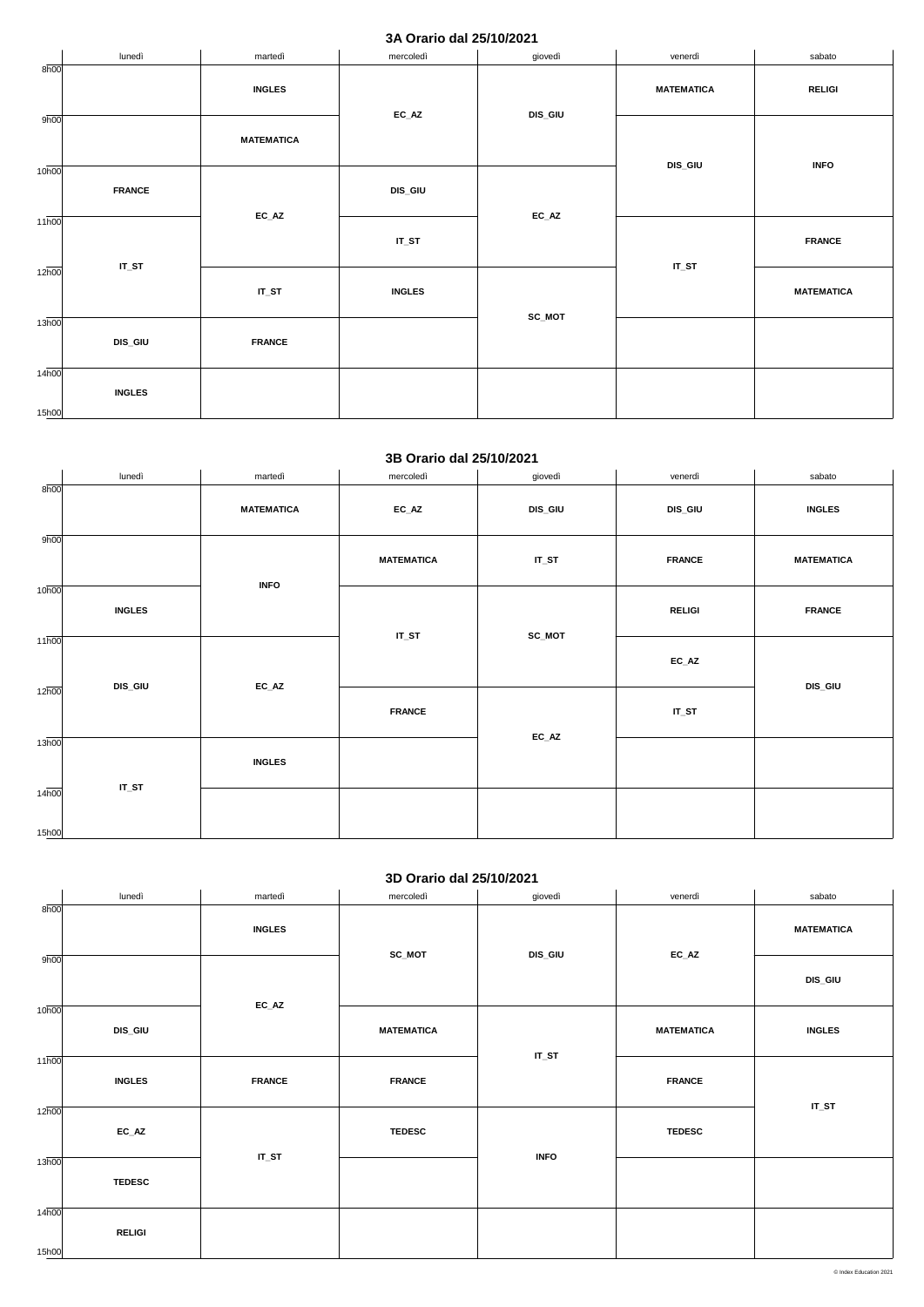### **3A Orario dal 25/10/2021**

|                             | lunedì         | martedì                    | mercoledì                  | giovedì                    | venerdì           | sabato            |
|-----------------------------|----------------|----------------------------|----------------------------|----------------------------|-------------------|-------------------|
| 8h00                        |                | <b>INGLES</b>              |                            |                            | <b>MATEMATICA</b> | <b>RELIGI</b>     |
| 9h00                        |                | <b>MATEMATICA</b>          | $\mathsf{EC}\_\mathsf{AZ}$ | <b>DIS_GIU</b>             | DIS_GIU           | <b>INFO</b>       |
| 10 <sub>h00</sub>           | <b>FRANCE</b>  |                            | <b>DIS_GIU</b>             | $\mathsf{EC}\_\mathsf{AZ}$ |                   |                   |
| $11\overline{h00}$          |                | $\mathsf{EC}\_\mathsf{AZ}$ | $IT_ST$                    |                            | $IT_ST$           | <b>FRANCE</b>     |
| $12\overline{h00}$          | $IT_ST$        | $IT_ST$                    | <b>INGLES</b>              | SC_MOT                     |                   | <b>MATEMATICA</b> |
| 13h00                       | <b>DIS_GIU</b> | <b>FRANCE</b>              |                            |                            |                   |                   |
| $14\overline{h00}$<br>15h00 | <b>INGLES</b>  |                            |                            |                            |                   |                   |

### **3B Orario dal 25/10/2021**

|                    | lunedì        | martedì           | mercoledì         | giovedì        | venerdì                    | sabato            |
|--------------------|---------------|-------------------|-------------------|----------------|----------------------------|-------------------|
| 8h00               |               | <b>MATEMATICA</b> | $EC\_AZ$          | <b>DIS_GIU</b> | <b>DIS_GIU</b>             | <b>INGLES</b>     |
| 9h00               |               |                   | <b>MATEMATICA</b> | $IT_ST$        | <b>FRANCE</b>              | <b>MATEMATICA</b> |
| 10 <sub>h00</sub>  | <b>INGLES</b> | <b>INFO</b>       | $IT_ST$           | SC_MOT         | <b>RELIGI</b>              | <b>FRANCE</b>     |
| 11h00              | DIS_GIU       | $EC\_AZ$          |                   |                | $\mathsf{EC}\_\mathsf{AZ}$ | <b>DIS_GIU</b>    |
| $12\overline{h00}$ |               |                   | <b>FRANCE</b>     | $EC\_AZ$       | $IT_ST$                    |                   |
| 13h00              | $IT_ST$       | <b>INGLES</b>     |                   |                |                            |                   |
| 14h00<br>15h00     |               |                   |                   |                |                            |                   |

## **3D Orario dal 25/10/2021**

|                             |                | $EC\_AZ$      |                   |             |                   |               |
|-----------------------------|----------------|---------------|-------------------|-------------|-------------------|---------------|
| 10 <sub>h00</sub>           | <b>DIS_GIU</b> |               | <b>MATEMATICA</b> | $IT_ST$     | <b>MATEMATICA</b> | <b>INGLES</b> |
| $11\overline{h00}$          | <b>INGLES</b>  | <b>FRANCE</b> | <b>FRANCE</b>     |             | <b>FRANCE</b>     |               |
| 12 <sub>h00</sub>           | $EC\_AZ$       |               | <b>TEDESC</b>     |             | <b>TEDESC</b>     | $IT_ST$       |
| 13h00                       | <b>TEDESC</b>  | $IT_ST$       |                   | <b>INFO</b> |                   |               |
| $14\overline{h00}$<br>15h00 | <b>RELIGI</b>  |               |                   |             |                   |               |

|      | lunedì | martedì       | mercoledì | giovedì        | venerdì  | sabato         |
|------|--------|---------------|-----------|----------------|----------|----------------|
| 8h00 |        |               |           |                |          |                |
|      |        | <b>INGLES</b> |           |                |          | MATEMATICA     |
| 9h00 |        |               | SC_MOT    | <b>DIS_GIU</b> | $EC\_AZ$ |                |
|      |        |               |           |                |          | <b>DIS_GIU</b> |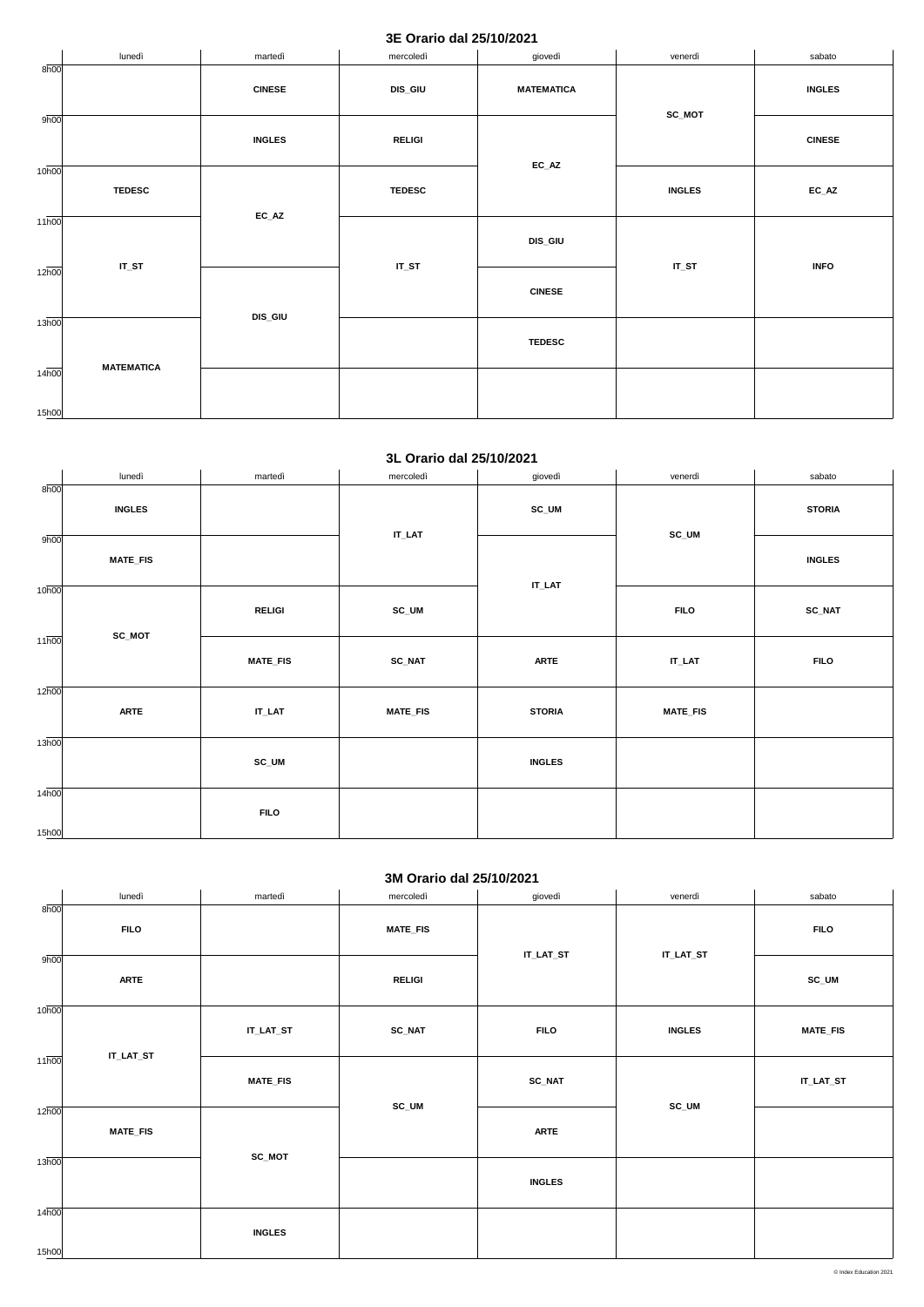### **3E Orario dal 25/10/2021**

|                             | lunedì            | martedì             | mercoledì      | giovedì           | venerdì       | sabato        |
|-----------------------------|-------------------|---------------------|----------------|-------------------|---------------|---------------|
| 8h00                        |                   | <b>CINESE</b>       | <b>DIS_GIU</b> | <b>MATEMATICA</b> | SC_MOT        | <b>INGLES</b> |
| 9h00                        |                   | <b>INGLES</b>       | <b>RELIGI</b>  | $EC\_AZ$          |               | <b>CINESE</b> |
| 10 <sub>h00</sub>           | <b>TEDESC</b>     |                     | <b>TEDESC</b>  |                   | <b>INGLES</b> | $EC\_AZ$      |
| $11\overline{h00}$          |                   | $EC\_AZ$<br>$IT_ST$ |                | <b>DIS_GIU</b>    | $IT_ST$       | <b>INFO</b>   |
| $12\overline{h00}$          |                   |                     | $IT_ST$        | <b>CINESE</b>     |               |               |
| $13\overline{h00}$          | <b>MATEMATICA</b> | <b>DIS_GIU</b>      |                | <b>TEDESC</b>     |               |               |
| $14\overline{h00}$<br>15h00 |                   |                     |                |                   |               |               |

### **3L Orario dal 25/10/2021**

|                    | lunedì          | martedì         | mercoledì       | giovedì       | venerdì         | sabato        |
|--------------------|-----------------|-----------------|-----------------|---------------|-----------------|---------------|
| 8h00               | <b>INGLES</b>   |                 |                 | $SC_UM$       |                 | <b>STORIA</b> |
| 9h00               | <b>MATE_FIS</b> |                 | $IT\_LAT$       |               | $SC_UM$         | <b>INGLES</b> |
| 10 <sub>h00</sub>  | SC_MOT          | <b>RELIGI</b>   | SC_UM           | <b>IT_LAT</b> | <b>FILO</b>     | <b>SC_NAT</b> |
| $11\overline{h00}$ |                 | <b>MATE_FIS</b> | <b>SC_NAT</b>   | <b>ARTE</b>   | $IT\_LAT$       | <b>FILO</b>   |
| $12\overline{h00}$ | <b>ARTE</b>     | $IT\_LAT$       | <b>MATE_FIS</b> | <b>STORIA</b> | <b>MATE_FIS</b> |               |
| 13h00              |                 | SC_UM           |                 | <b>INGLES</b> |                 |               |
| 14h00<br>15h00     |                 | <b>FILO</b>     |                 |               |                 |               |

### **3M Orario dal 25/10/2021**

|                    | lunedì          | martedì         | mercoledì       | giovedì       | venerdì       | sabato           |
|--------------------|-----------------|-----------------|-----------------|---------------|---------------|------------------|
| 8h00               | <b>FILO</b>     |                 | <b>MATE_FIS</b> | IT_LAT_ST     | IT_LAT_ST     | <b>FILO</b>      |
| 9h00               | <b>ARTE</b>     |                 | <b>RELIGI</b>   |               |               | SC_UM            |
| 10 <sub>h00</sub>  | IT_LAT_ST       | IT_LAT_ST       | <b>SC_NAT</b>   | <b>FILO</b>   | <b>INGLES</b> | <b>MATE_FIS</b>  |
| $11\overline{h00}$ |                 | <b>MATE_FIS</b> | $SC_UM$         | <b>SC_NAT</b> | $SC_UM$       | <b>IT_LAT_ST</b> |
| 12h00              | <b>MATE_FIS</b> |                 |                 | <b>ARTE</b>   |               |                  |
| 13h00              |                 | SC_MOT          |                 | <b>INGLES</b> |               |                  |
| 14h00<br>15h00     |                 | <b>INGLES</b>   |                 |               |               |                  |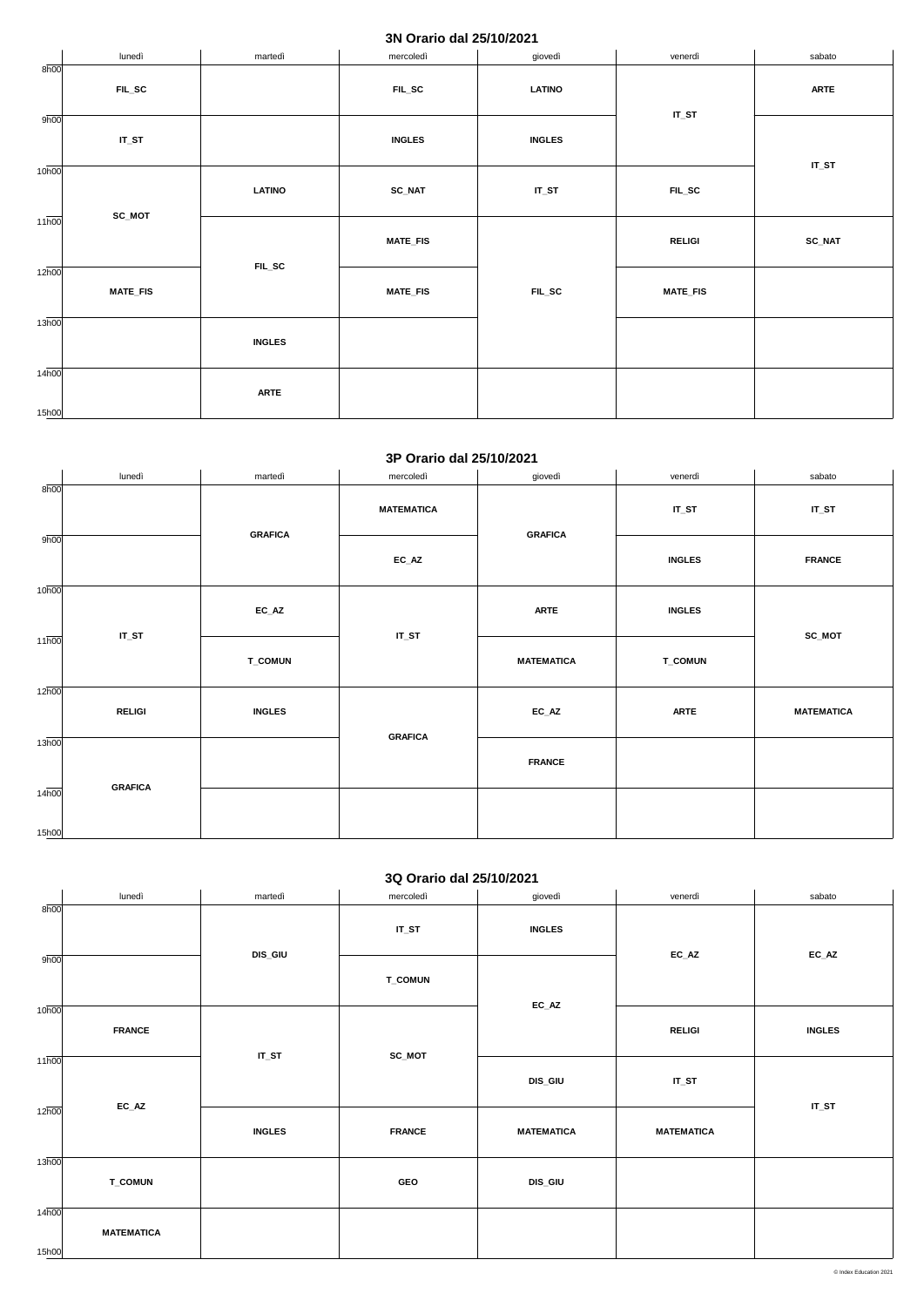## **3N Orario dal 25/10/2021**

|                             | lunedì                  | martedì         | mercoledì       | giovedì       | venerdì         | sabato      |
|-----------------------------|-------------------------|-----------------|-----------------|---------------|-----------------|-------------|
| 8h00                        | $FL\_SC$                |                 | $FL\_SC$        | <b>LATINO</b> |                 | <b>ARTE</b> |
| 9h00                        | $IT_ST$                 |                 | <b>INGLES</b>   | <b>INGLES</b> | $IT_ST$         |             |
| 10 <sub>h00</sub>           | <b>LATINO</b><br>SC_MOT |                 | <b>SC_NAT</b>   | $IT_ST$       | $FL\_SC$        | $IT_ST$     |
| $11\overline{h00}$          |                         | <b>MATE_FIS</b> |                 | <b>RELIGI</b> | <b>SC_NAT</b>   |             |
| $12\overline{h00}$          | <b>MATE_FIS</b>         | $FL\_SC$        | <b>MATE_FIS</b> | $FL\_SC$      | <b>MATE_FIS</b> |             |
| $13\overline{h00}$          |                         | <b>INGLES</b>   |                 |               |                 |             |
| $14\overline{h00}$<br>15h00 |                         | <b>ARTE</b>     |                 |               |                 |             |

#### **3P Orario dal 25/10/2021**

|                    | lunedì         | martedì        | mercoledì         | giovedì           | venerdì        | sabato            |
|--------------------|----------------|----------------|-------------------|-------------------|----------------|-------------------|
| 8h00               |                | <b>GRAFICA</b> | <b>MATEMATICA</b> |                   | $IT_ST$        | $IT_ST$           |
| 9h00               |                |                | $EC\_AZ$          | <b>GRAFICA</b>    | <b>INGLES</b>  | <b>FRANCE</b>     |
| 10h00              | $IT_ST$        | $EC\_AZ$       | $IT_ST$           | <b>ARTE</b>       | <b>INGLES</b>  | SC_MOT            |
| $11\overline{h00}$ |                | <b>T_COMUN</b> |                   | <b>MATEMATICA</b> | <b>T_COMUN</b> |                   |
| 12h00              | <b>RELIGI</b>  | <b>INGLES</b>  |                   | $EC\_AZ$          | <b>ARTE</b>    | <b>MATEMATICA</b> |
| 13h00              |                |                | <b>GRAFICA</b>    | <b>FRANCE</b>     |                |                   |
| 14h00<br>15h00     | <b>GRAFICA</b> |                |                   |                   |                |                   |

## **3Q Orario dal 25/10/2021**

|      | lunedì | martedì        | mercoledì      | giovedì       | venerdì  | sabato |
|------|--------|----------------|----------------|---------------|----------|--------|
| 8h00 |        |                |                |               |          |        |
|      |        |                | $IT_ST$        | <b>INGLES</b> |          |        |
| 9h00 |        | <b>DIS_GIU</b> |                |               | $EC\_AZ$ | EC_AZ  |
|      |        |                | <b>T_COMUN</b> |               |          |        |

|                   |                   |               |               | $EC\_AZ$          |                   |               |
|-------------------|-------------------|---------------|---------------|-------------------|-------------------|---------------|
| 10 <sub>h00</sub> | <b>FRANCE</b>     |               |               |                   | <b>RELIGI</b>     | <b>INGLES</b> |
| 11h00             |                   | $IT_ST$       | <b>SC_MOT</b> | <b>DIS_GIU</b>    | $IT_ST$           |               |
| 12 <sub>h00</sub> | $EC\_AZ$          | <b>INGLES</b> | <b>FRANCE</b> | <b>MATEMATICA</b> | <b>MATEMATICA</b> | $IT_ST$       |
| 13h00             | <b>T_COMUN</b>    |               | GEO           | <b>DIS_GIU</b>    |                   |               |
| 14h00<br>15h00    | <b>MATEMATICA</b> |               |               |                   |                   |               |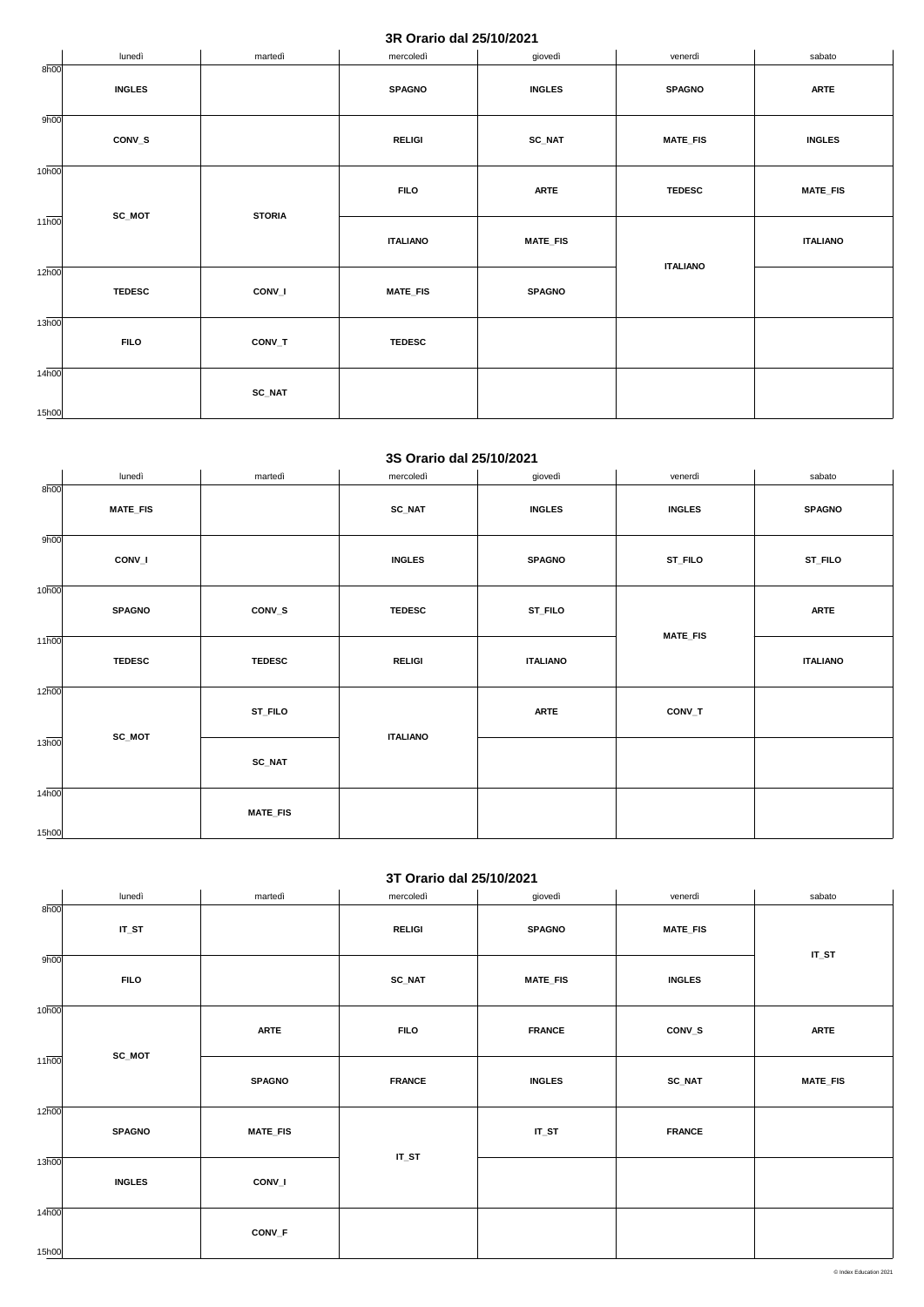### **3R Orario dal 25/10/2021**

|                            | lunedì        | martedì       | mercoledì       | giovedì         | venerdì         | sabato          |
|----------------------------|---------------|---------------|-----------------|-----------------|-----------------|-----------------|
| 8h00                       | <b>INGLES</b> |               | <b>SPAGNO</b>   | <b>INGLES</b>   | <b>SPAGNO</b>   | <b>ARTE</b>     |
| 9h00                       | CONV_S        |               | <b>RELIGI</b>   | <b>SC_NAT</b>   | <b>MATE_FIS</b> | <b>INGLES</b>   |
| 10 <sub>h00</sub>          |               | <b>STORIA</b> | <b>FILO</b>     | <b>ARTE</b>     | <b>TEDESC</b>   | <b>MATE_FIS</b> |
| $11\overline{h00}$         | SC_MOT        |               | <b>ITALIANO</b> | <b>MATE_FIS</b> |                 | <b>ITALIANO</b> |
| 12 <sub>h00</sub>          | <b>TEDESC</b> | CONV_I        | <b>MATE_FIS</b> | <b>SPAGNO</b>   | <b>ITALIANO</b> |                 |
| 13 <sub>h00</sub>          | <b>FILO</b>   | CONV_T        | <b>TEDESC</b>   |                 |                 |                 |
| 14 <sub>h00</sub><br>15h00 |               | <b>SC_NAT</b> |                 |                 |                 |                 |

#### **3S Orario dal 25/10/2021**

|                    | lunedì          | martedì         | mercoledì       | giovedì         | venerdì         | sabato          |
|--------------------|-----------------|-----------------|-----------------|-----------------|-----------------|-----------------|
| 8h00               | <b>MATE_FIS</b> |                 | <b>SC_NAT</b>   | <b>INGLES</b>   | <b>INGLES</b>   | <b>SPAGNO</b>   |
| 9h00               | CONV_I          |                 | <b>INGLES</b>   | <b>SPAGNO</b>   | ST_FILO         | ST_FILO         |
| 10 <sub>h00</sub>  | <b>SPAGNO</b>   | CONV_S          | <b>TEDESC</b>   | ST_FILO         |                 | <b>ARTE</b>     |
| $11\overline{h00}$ | <b>TEDESC</b>   | <b>TEDESC</b>   | <b>RELIGI</b>   | <b>ITALIANO</b> | <b>MATE_FIS</b> | <b>ITALIANO</b> |
| 12 <sub>h00</sub>  |                 | <b>ST_FILO</b>  |                 | <b>ARTE</b>     | CONV_T          |                 |
| 13h00              | SC_MOT          | $SC\_NAT$       | <b>ITALIANO</b> |                 |                 |                 |
| 14h00<br>15h00     |                 | <b>MATE_FIS</b> |                 |                 |                 |                 |

## **3T Orario dal 25/10/2021**

|                    | lunedì        | martedì         | mercoledì     | giovedì         | venerdì         | sabato          |
|--------------------|---------------|-----------------|---------------|-----------------|-----------------|-----------------|
| 8h00               | $IT_ST$       |                 | <b>RELIGI</b> | <b>SPAGNO</b>   | <b>MATE_FIS</b> |                 |
| 9h00               | <b>FILO</b>   |                 | $SC\_NAT$     | <b>MATE_FIS</b> | <b>INGLES</b>   | $IT_ST$         |
| 10 <sub>h00</sub>  | SC_MOT        | <b>ARTE</b>     | <b>FILO</b>   | <b>FRANCE</b>   | CONV_S          | <b>ARTE</b>     |
| $11\overline{h00}$ |               | <b>SPAGNO</b>   | <b>FRANCE</b> | <b>INGLES</b>   | <b>SC_NAT</b>   | <b>MATE_FIS</b> |
| 12h00              | <b>SPAGNO</b> | <b>MATE_FIS</b> |               | $IT_ST$         | <b>FRANCE</b>   |                 |
| 13h00              | <b>INGLES</b> | CONV_I          | $IT_ST$       |                 |                 |                 |
| 14h00<br>15h00     |               | $CONV_F$        |               |                 |                 |                 |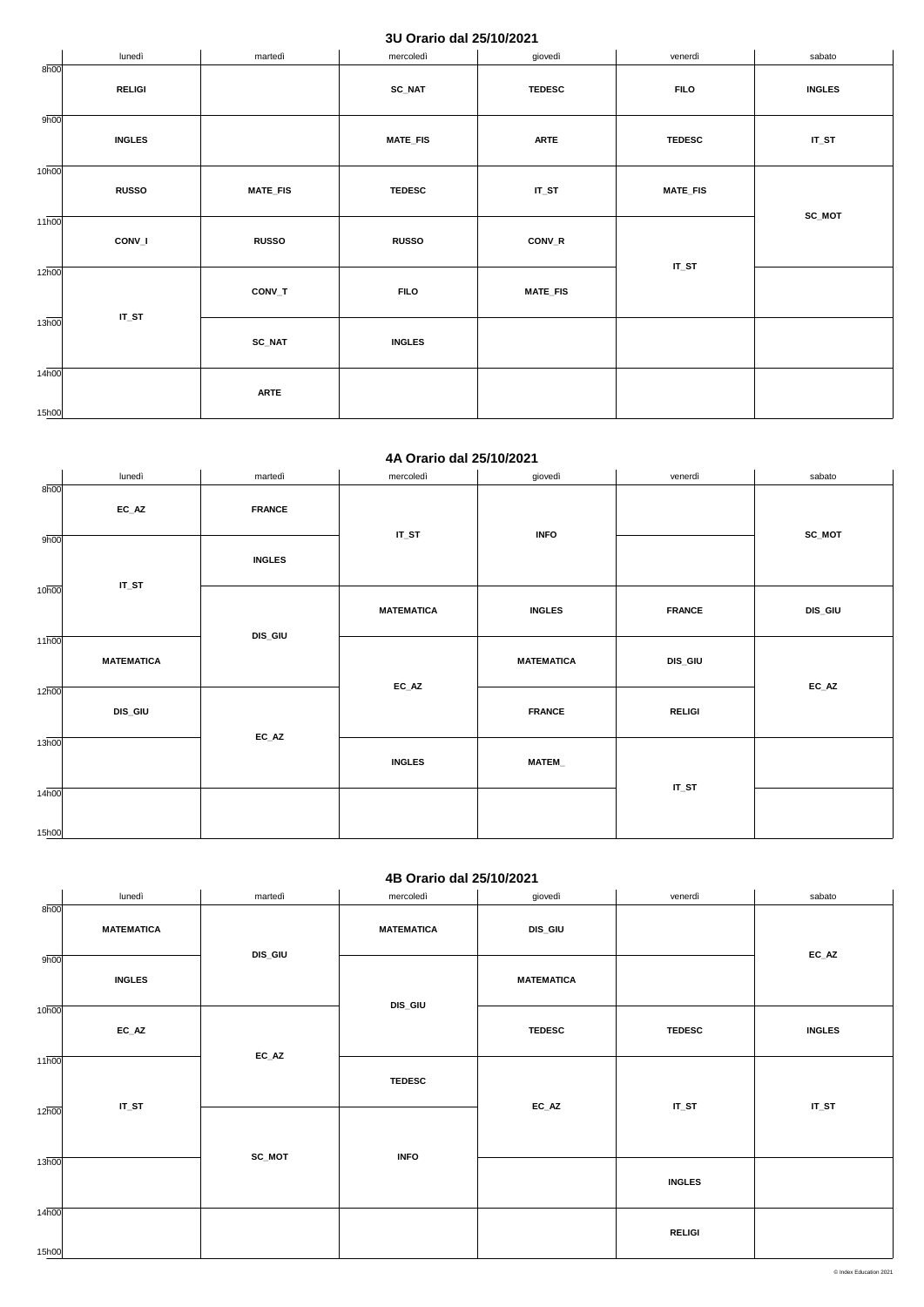## **3U Orario dal 25/10/2021**

|                             | lunedì        | martedì         | mercoledì       | giovedì         | venerdì         | sabato        |
|-----------------------------|---------------|-----------------|-----------------|-----------------|-----------------|---------------|
| 8h00                        | <b>RELIGI</b> |                 | <b>SC_NAT</b>   | <b>TEDESC</b>   | <b>FILO</b>     | <b>INGLES</b> |
| 9h00                        | <b>INGLES</b> |                 | <b>MATE_FIS</b> | <b>ARTE</b>     | <b>TEDESC</b>   | $IT_ST$       |
| 10 <sub>h00</sub>           | <b>RUSSO</b>  | <b>MATE_FIS</b> | <b>TEDESC</b>   | $IT_ST$         | <b>MATE_FIS</b> |               |
| $11\overline{h00}$          | CONV_I        | <b>RUSSO</b>    | <b>RUSSO</b>    | CONV_R          |                 | SC_MOT        |
| $12\overline{h00}$          | $IT_ST$       | CONV_T          | <b>FILO</b>     | <b>MATE_FIS</b> | $IT_ST$         |               |
| 13 <sub>h00</sub>           |               | <b>SC_NAT</b>   | <b>INGLES</b>   |                 |                 |               |
| $14\overline{h00}$<br>15h00 |               | <b>ARTE</b>     |                 |                 |                 |               |

#### **4A Orario dal 25/10/2021**

|                    | lunedì            | martedì       | mercoledì         | giovedì           | venerdì       | sabato                     |
|--------------------|-------------------|---------------|-------------------|-------------------|---------------|----------------------------|
| 8h00               | $EC\_AZ$          | <b>FRANCE</b> |                   |                   |               |                            |
| 9h00               | $IT_ST$           | <b>INGLES</b> | $IT_ST$           | <b>INFO</b>       |               | SC_MOT                     |
| 10 <sub>h00</sub>  |                   | DIS_GIU       | <b>MATEMATICA</b> | <b>INGLES</b>     | <b>FRANCE</b> | <b>DIS_GIU</b>             |
| $11\overline{h00}$ | <b>MATEMATICA</b> |               | $EC\_AZ$          | <b>MATEMATICA</b> | DIS_GIU       | $\mathsf{EC}\_\mathsf{AZ}$ |
| 12 <sub>h00</sub>  | <b>DIS_GIU</b>    | $EC\_AZ$      |                   | <b>FRANCE</b>     | <b>RELIGI</b> |                            |
| 13h00              |                   |               | <b>INGLES</b>     | MATEM             |               |                            |
| 14h00              |                   |               |                   |                   | $IT_ST$       |                            |
| 15h00              |                   |               |                   |                   |               |                            |

### **4B Orario dal 25/10/2021**

|                   | lunedì            | martedì        | mercoledì         | giovedì                    | venerdì       | sabato        |
|-------------------|-------------------|----------------|-------------------|----------------------------|---------------|---------------|
| 8h00              | <b>MATEMATICA</b> |                | <b>MATEMATICA</b> | DIS_GIU                    |               |               |
| 9h00              | <b>INGLES</b>     | <b>DIS_GIU</b> | DIS_GIU           | <b>MATEMATICA</b>          |               | $EC\_AZ$      |
| 10 <sub>h00</sub> | $EC\_AZ$          |                |                   | <b>TEDESC</b>              | <b>TEDESC</b> | <b>INGLES</b> |
| 11 <sub>h00</sub> |                   | $EC\_AZ$       | <b>TEDESC</b>     |                            |               |               |
| 12 <sub>h00</sub> | $IT_ST$           |                |                   | $\mathsf{EC}\_\mathsf{AZ}$ | $IT_ST$       | $IT_ST$       |
| 13h00             |                   | SC_MOT         | <b>INFO</b>       |                            | <b>INGLES</b> |               |
| 14h00<br>15h00    |                   |                |                   |                            | <b>RELIGI</b> |               |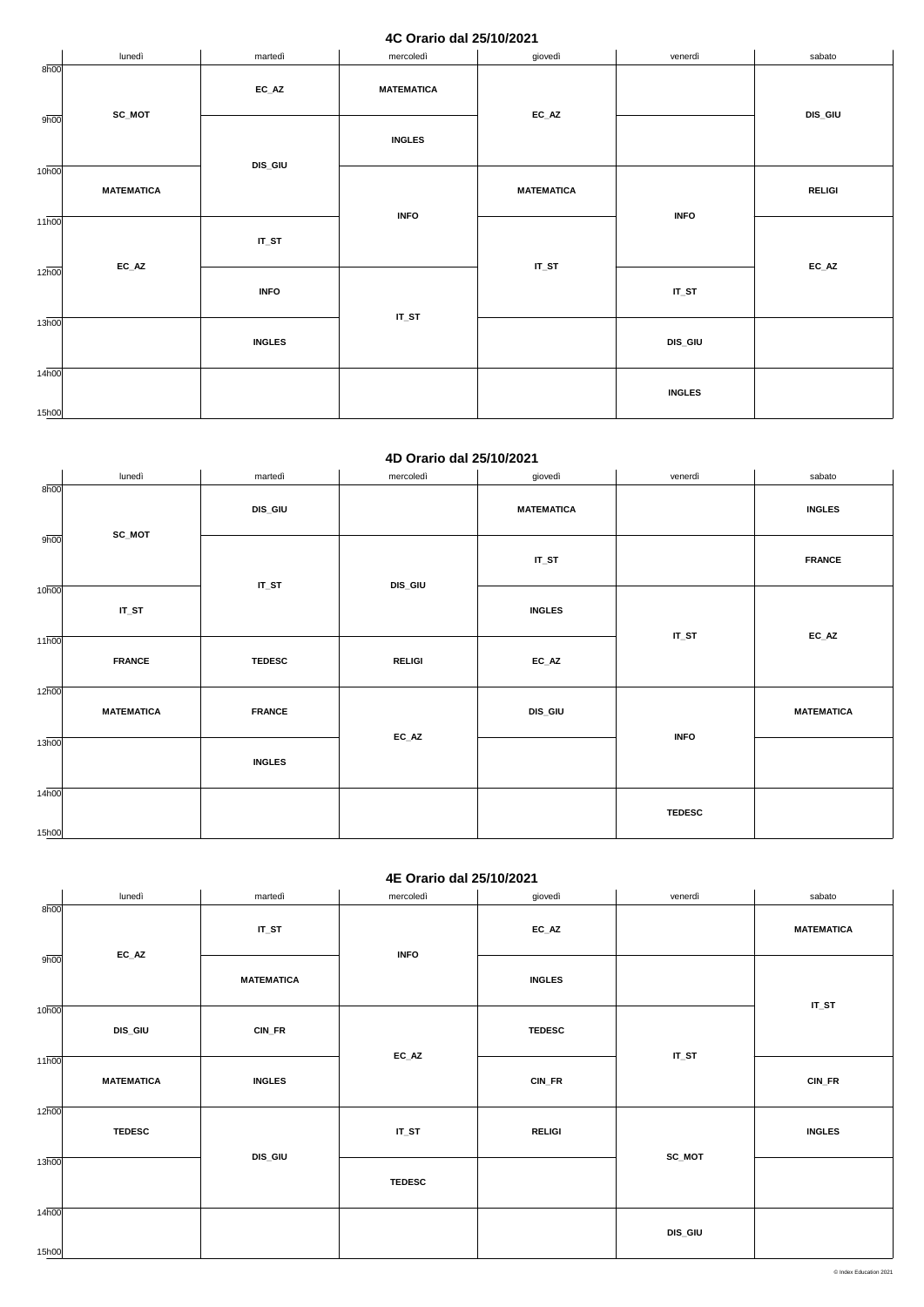### **4C Orario dal 25/10/2021**

|                    | lunedì            | martedì        | mercoledì              | giovedì                    | venerdì       | sabato                     |
|--------------------|-------------------|----------------|------------------------|----------------------------|---------------|----------------------------|
| 8h00               |                   | $EC\_AZ$       | <b>MATEMATICA</b>      |                            |               |                            |
| 9h00               | SC_MOT            |                | <b>INGLES</b>          | $\mathsf{EC}\_\mathsf{AZ}$ |               | <b>DIS_GIU</b>             |
| 10 <sub>h00</sub>  | <b>MATEMATICA</b> | <b>DIS_GIU</b> |                        | <b>MATEMATICA</b>          |               | <b>RELIGI</b>              |
| $11\overline{h00}$ | $EC\_AZ$          | $IT_ST$        | <b>INFO</b><br>$IT_ST$ | $IT_ST$                    | <b>INFO</b>   | $\mathsf{EC}\_\mathsf{AZ}$ |
| 12 <sub>h00</sub>  |                   | <b>INFO</b>    |                        |                            | $IT_ST$       |                            |
| 13h00              |                   | <b>INGLES</b>  |                        |                            | DIS_GIU       |                            |
| 14h00<br>15h00     |                   |                |                        |                            | <b>INGLES</b> |                            |

#### **4D Orario dal 25/10/2021**

|                             | lunedì            | martedì        | mercoledì      | giovedì                    | venerdì       | sabato            |
|-----------------------------|-------------------|----------------|----------------|----------------------------|---------------|-------------------|
| 8h00                        | SC_MOT            | <b>DIS_GIU</b> |                | <b>MATEMATICA</b>          |               | <b>INGLES</b>     |
| 9h00                        |                   |                |                | $IT_ST$                    |               | <b>FRANCE</b>     |
| 10 <sub>h00</sub>           | $IT_ST$           | $IT_ST$        | <b>DIS_GIU</b> | <b>INGLES</b>              |               |                   |
| $11\overline{h00}$          | <b>FRANCE</b>     | <b>TEDESC</b>  | <b>RELIGI</b>  | $\mathsf{EC}\_\mathsf{AZ}$ | $IT_ST$       | $EC\_AZ$          |
| $12\overline{h00}$          | <b>MATEMATICA</b> | <b>FRANCE</b>  |                | <b>DIS_GIU</b>             |               | <b>MATEMATICA</b> |
| 13h00                       |                   | <b>INGLES</b>  | $EC\_AZ$       |                            | <b>INFO</b>   |                   |
| $14\overline{h00}$<br>15h00 |                   |                |                |                            | <b>TEDESC</b> |                   |

### **4E Orario dal 25/10/2021**

|                    | lunedì                             | martedì           | mercoledì                  | giovedì       | venerdì | sabato            |
|--------------------|------------------------------------|-------------------|----------------------------|---------------|---------|-------------------|
| 8h00               | $EC\_AZ$                           | $IT_ST$           | <b>INFO</b>                | $EC\_AZ$      |         | <b>MATEMATICA</b> |
| 9h00               |                                    | <b>MATEMATICA</b> |                            | <b>INGLES</b> |         | $IT_ST$           |
| 10 <sub>h00</sub>  | <b>DIS_GIU</b>                     | CIN_FR            | $\mathsf{EC}\_\mathsf{AZ}$ | <b>TEDESC</b> | $IT_ST$ |                   |
| $11\overline{h00}$ | <b>MATEMATICA</b><br><b>INGLES</b> |                   |                            | CIN_FR        |         | CIN_FR            |
| 12h00              | <b>TEDESC</b>                      |                   | $IT_ST$                    | <b>RELIGI</b> |         | <b>INGLES</b>     |
| 13h00              |                                    | <b>DIS_GIU</b>    | <b>TEDESC</b>              |               | SC_MOT  |                   |
| 14h00<br>15h00     |                                    |                   |                            |               | DIS_GIU |                   |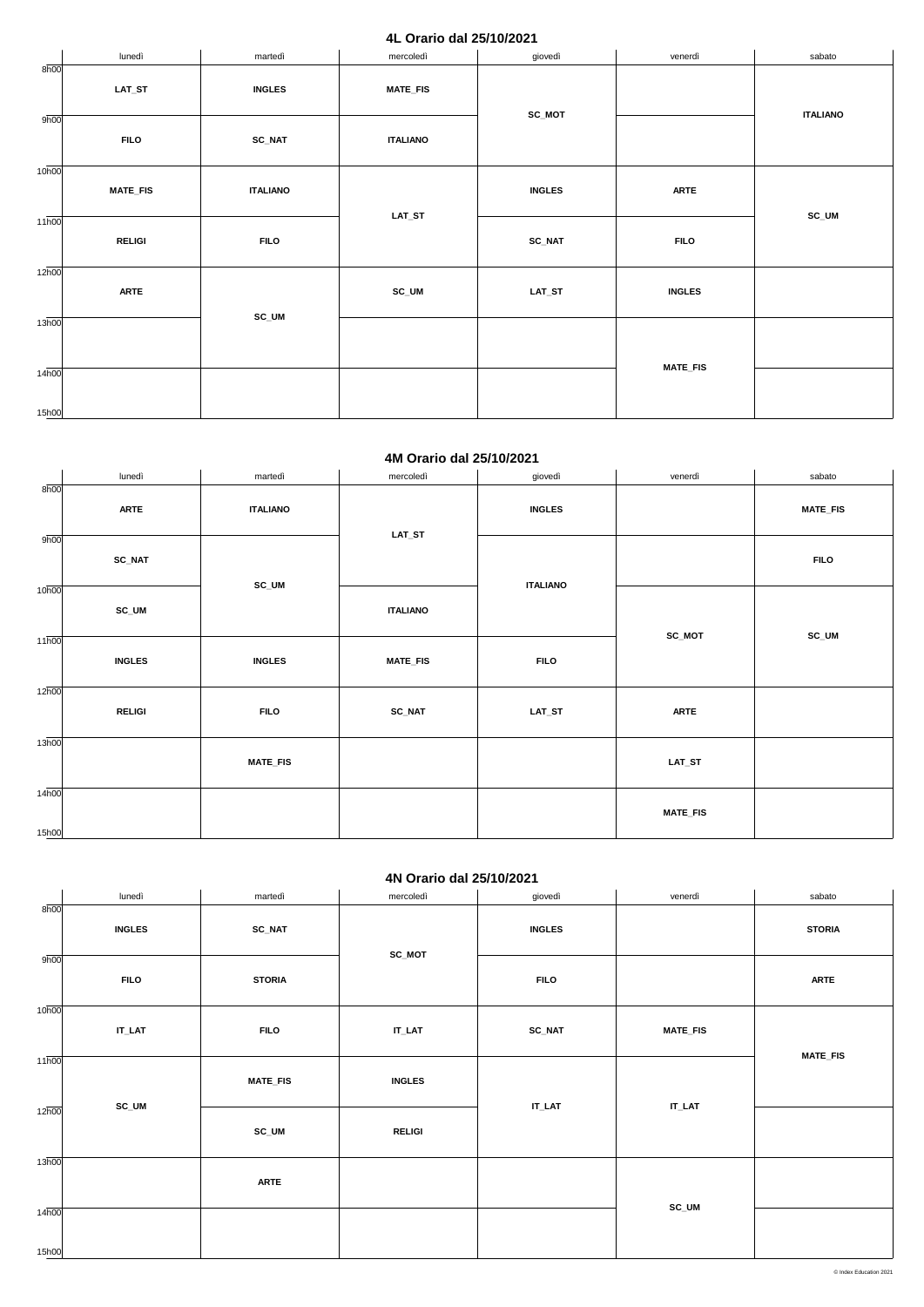### **4L Orario dal 25/10/2021**

|                             | lunedì          | martedì                                                       | mercoledì       | giovedì       | venerdì         | sabato          |
|-----------------------------|-----------------|---------------------------------------------------------------|-----------------|---------------|-----------------|-----------------|
| 8h00                        | $LAT\_ST$       | <b>INGLES</b>                                                 | <b>MATE_FIS</b> | SC_MOT        |                 |                 |
| 9h00                        | <b>FILO</b>     | <b>SC_NAT</b>                                                 | <b>ITALIANO</b> |               |                 | <b>ITALIANO</b> |
| 10 <sub>h00</sub>           | <b>MATE_FIS</b> | <b>ITALIANO</b><br>$\mathsf{LAT}\_\mathsf{ST}$<br><b>FILO</b> |                 | <b>INGLES</b> | <b>ARTE</b>     |                 |
| $11\overline{h00}$          | <b>RELIGI</b>   |                                                               |                 | SC_NAT        | <b>FILO</b>     | SC_UM           |
| $12\overline{h00}$          | <b>ARTE</b>     |                                                               | SC_UM           | LAT_ST        | <b>INGLES</b>   |                 |
| 13 <sub>h00</sub>           |                 | $SC_UM$                                                       |                 |               |                 |                 |
| $14\overline{h00}$<br>15h00 |                 |                                                               |                 |               | <b>MATE_FIS</b> |                 |

#### **4M Orario dal 25/10/2021**

|                            | lunedì        | martedì                  | mercoledì                   | giovedì                          | venerdì         | sabato          |
|----------------------------|---------------|--------------------------|-----------------------------|----------------------------------|-----------------|-----------------|
| 8h00                       | <b>ARTE</b>   | <b>ITALIANO</b><br>SC_UM | $\mathsf{LAT}\_\mathsf{ST}$ | <b>INGLES</b><br><b>ITALIANO</b> |                 | <b>MATE_FIS</b> |
| 9h00                       | <b>SC_NAT</b> |                          |                             |                                  |                 | <b>FILO</b>     |
| 10 <sub>h00</sub>          | SC_UM         |                          | <b>ITALIANO</b>             |                                  |                 |                 |
| 11h00                      | <b>INGLES</b> | <b>INGLES</b>            | <b>MATE_FIS</b>             | <b>FILO</b>                      | SC_MOT          | SC_UM           |
| 12h00                      | <b>RELIGI</b> | <b>FILO</b>              | <b>SC_NAT</b>               | $LAT\_ST$                        | <b>ARTE</b>     |                 |
| 13h00                      |               | <b>MATE_FIS</b>          |                             |                                  | $LAT\_ST$       |                 |
| 14 <sub>h00</sub><br>15h00 |               |                          |                             |                                  | <b>MATE_FIS</b> |                 |

## **4N Orario dal 25/10/2021**

|                    | lunedì        | martedì         | mercoledì                   | giovedì       | venerdì                     | sabato          |
|--------------------|---------------|-----------------|-----------------------------|---------------|-----------------------------|-----------------|
| 8h00               | <b>INGLES</b> | $SC\_NAT$       |                             | <b>INGLES</b> |                             | <b>STORIA</b>   |
|                    |               |                 | SC_MOT                      |               |                             |                 |
| 9h00               | <b>FILO</b>   | <b>STORIA</b>   |                             | <b>FILO</b>   |                             | <b>ARTE</b>     |
| 10 <sub>h00</sub>  |               |                 |                             |               |                             |                 |
|                    | $IT\_LAT$     | <b>FILO</b>     | $\textsf{IT}\_\textsf{LAT}$ | <b>SC_NAT</b> | <b>MATE_FIS</b>             |                 |
| $11\overline{h00}$ |               |                 |                             |               |                             | <b>MATE_FIS</b> |
|                    |               | <b>MATE_FIS</b> | <b>INGLES</b>               |               |                             |                 |
| 12 <sub>h00</sub>  | SC_UM         |                 |                             | $IT\_LAT$     | $\mathsf{IT}\_\mathsf{LAT}$ |                 |
|                    |               | $SC_UM$         | <b>RELIGI</b>               |               |                             |                 |
| 13h00              |               |                 |                             |               |                             |                 |
|                    |               | <b>ARTE</b>     |                             |               |                             |                 |
| 14h00              |               |                 |                             |               | SC_UM                       |                 |
| 15h00              |               |                 |                             |               |                             |                 |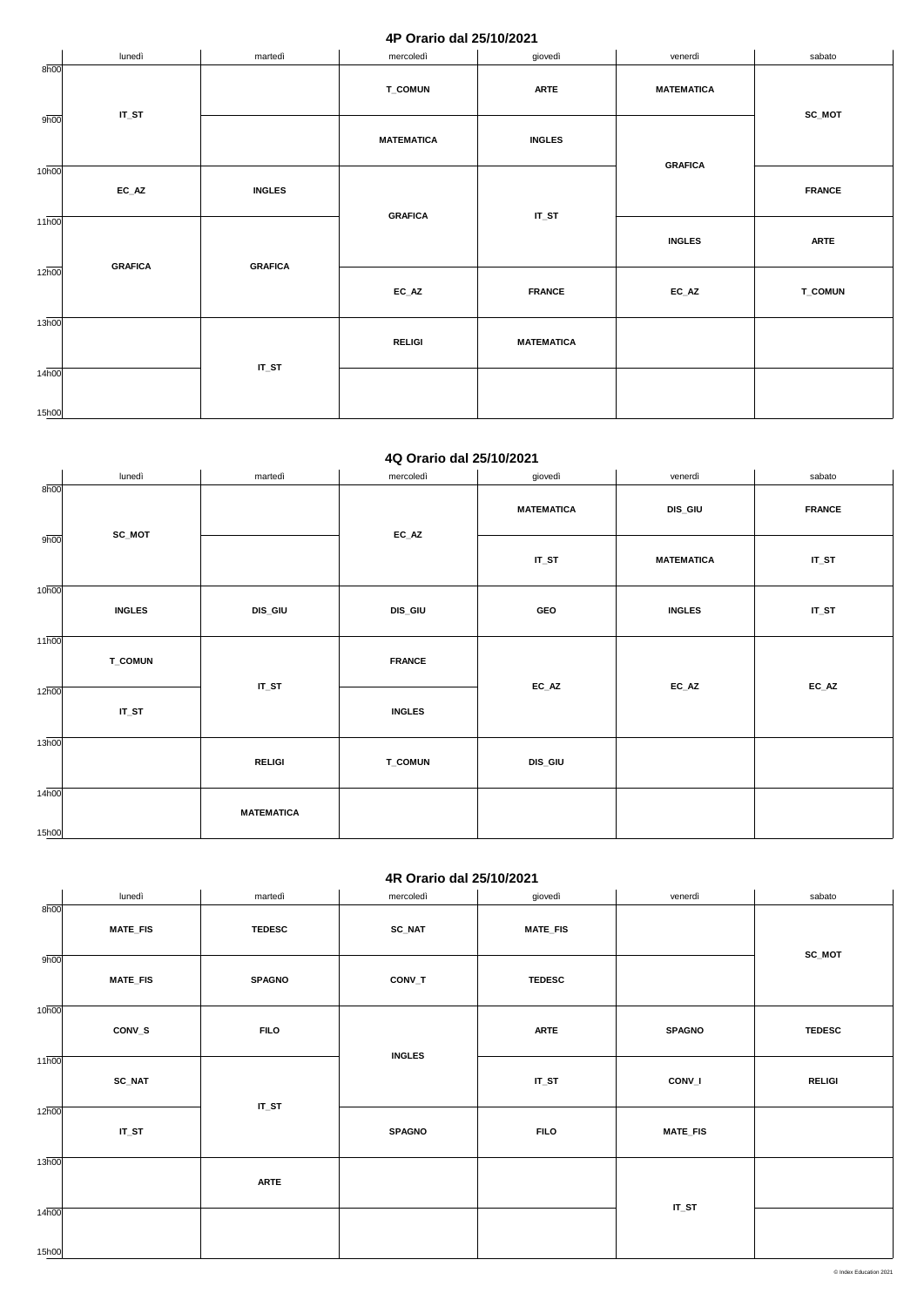### **4P Orario dal 25/10/2021**

|                    | lunedì         | martedì        | mercoledì         | giovedì           | venerdì                    | sabato         |
|--------------------|----------------|----------------|-------------------|-------------------|----------------------------|----------------|
| 8h00               | $IT_ST$        |                | <b>T_COMUN</b>    | <b>ARTE</b>       | <b>MATEMATICA</b>          | SC_MOT         |
| 9h00               |                |                | <b>MATEMATICA</b> | <b>INGLES</b>     | <b>GRAFICA</b>             |                |
| 10 <sub>h00</sub>  | $EC\_AZ$       | <b>INGLES</b>  |                   | $IT_ST$           |                            | <b>FRANCE</b>  |
| $11\overline{h00}$ |                | <b>GRAFICA</b> |                   | <b>INGLES</b>     | <b>ARTE</b>                |                |
| 12 <sub>h00</sub>  | <b>GRAFICA</b> | <b>GRAFICA</b> | $EC\_AZ$          | <b>FRANCE</b>     | $\mathsf{EC}\_\mathsf{AZ}$ | <b>T_COMUN</b> |
| 13h00              |                | $IT_ST$        | <b>RELIGI</b>     | <b>MATEMATICA</b> |                            |                |
| 14h00<br>15h00     |                |                |                   |                   |                            |                |

#### **4Q Orario dal 25/10/2021**

|                    | lunedì         | martedì           | mercoledì      | giovedì           | venerdì       | sabato                     |
|--------------------|----------------|-------------------|----------------|-------------------|---------------|----------------------------|
| 8h00               |                |                   |                | <b>MATEMATICA</b> | DIS_GIU       | <b>FRANCE</b>              |
| 9h00               | SC_MOT         | $EC\_AZ$          | $IT_ST$        | <b>MATEMATICA</b> | $IT_ST$       |                            |
| 10 <sub>h00</sub>  | <b>INGLES</b>  | DIS_GIU           | DIS_GIU        | GEO               | <b>INGLES</b> | $IT_ST$                    |
| $11\overline{h00}$ | <b>T_COMUN</b> |                   | <b>FRANCE</b>  |                   |               |                            |
| $12\overline{h00}$ | $IT_ST$        | $IT_ST$           | <b>INGLES</b>  | $EC\_AZ$          | $EC\_AZ$      | $\mathsf{EC}\_\mathsf{AZ}$ |
| 13h00              |                | <b>RELIGI</b>     | <b>T_COMUN</b> | DIS_GIU           |               |                            |
| 14h00<br>15h00     |                | <b>MATEMATICA</b> |                |                   |               |                            |
|                    |                |                   |                |                   |               |                            |

## **4R Orario dal 25/10/2021**

|                   | lunedì          | martedì                | mercoledì     | giovedì         | venerdì         | sabato        |               |
|-------------------|-----------------|------------------------|---------------|-----------------|-----------------|---------------|---------------|
| 8h00              | <b>MATE_FIS</b> | <b>TEDESC</b>          | <b>SC_NAT</b> | <b>MATE_FIS</b> |                 |               |               |
| 9h00              | <b>MATE_FIS</b> | <b>SPAGNO</b>          | CONV_T        | <b>TEDESC</b>   |                 | SC_MOT        |               |
| 10 <sub>h00</sub> | CONV_S          | <b>FILO</b><br>$IT_ST$ |               |                 | <b>ARTE</b>     | <b>SPAGNO</b> | <b>TEDESC</b> |
| 11 <sub>h00</sub> | SC_NAT          |                        | <b>INGLES</b> | $IT_ST$         | CONV_I          | <b>RELIGI</b> |               |
| 12h00             | $IT_ST$         |                        | <b>SPAGNO</b> | <b>FILO</b>     | <b>MATE_FIS</b> |               |               |
| 13h00             |                 | <b>ARTE</b>            |               |                 |                 |               |               |
| 14h00<br>15h00    |                 |                        |               |                 | $IT_ST$         |               |               |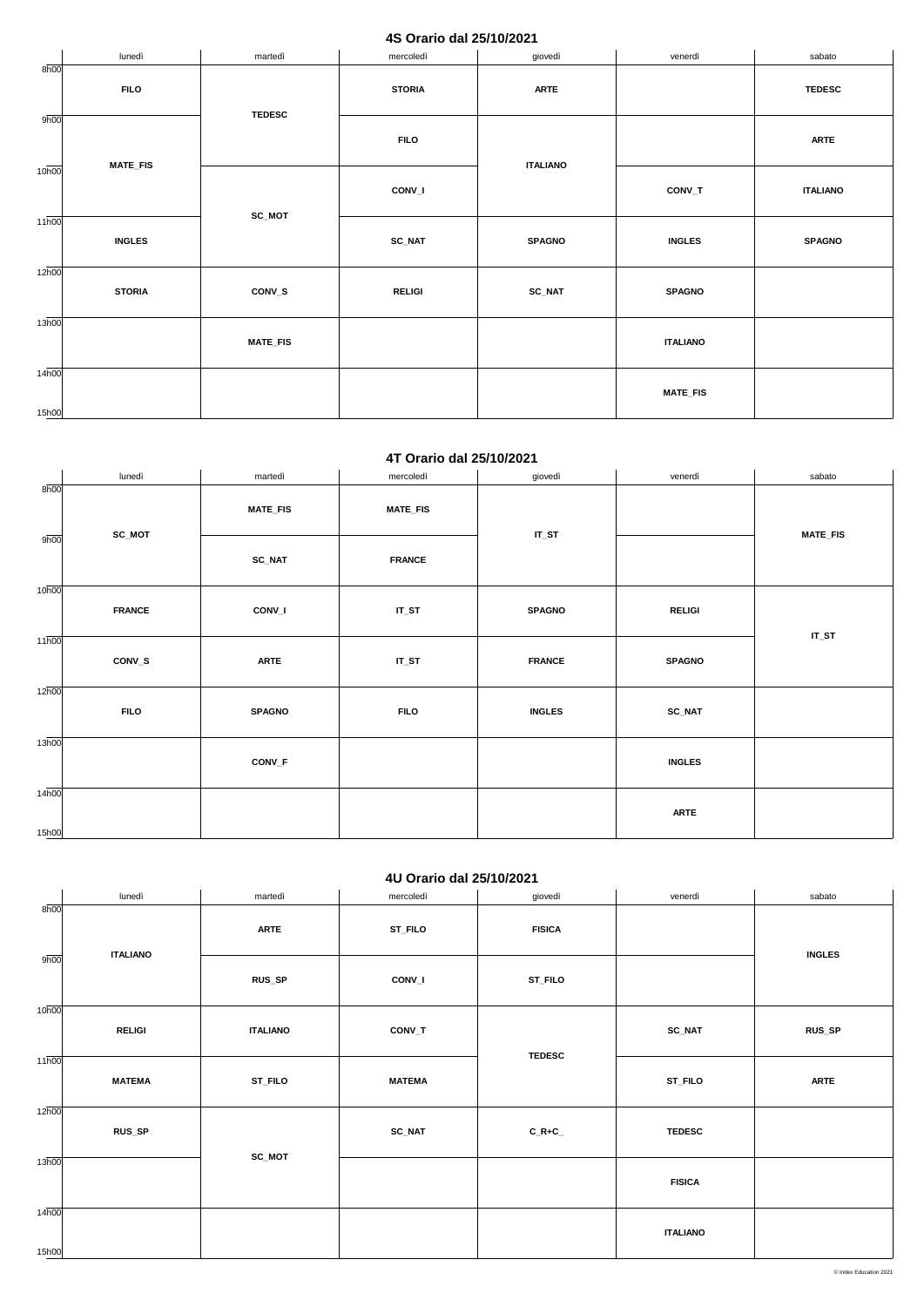## **4S Orario dal 25/10/2021**

|                    | lunedì          | martedì         | mercoledì     | giovedì         | venerdì         | sabato          |
|--------------------|-----------------|-----------------|---------------|-----------------|-----------------|-----------------|
| 8h00               | <b>FILO</b>     | <b>TEDESC</b>   | <b>STORIA</b> | <b>ARTE</b>     |                 | <b>TEDESC</b>   |
| 9h00               | <b>MATE_FIS</b> |                 | <b>FILO</b>   |                 |                 | <b>ARTE</b>     |
| 10 <sub>h00</sub>  |                 |                 | CONV_I        | <b>ITALIANO</b> | $CONV_T$        | <b>ITALIANO</b> |
| $11\overline{h00}$ | <b>INGLES</b>   | SC_MOT          | <b>SC_NAT</b> | <b>SPAGNO</b>   | <b>INGLES</b>   | <b>SPAGNO</b>   |
| 12 <sub>h00</sub>  | <b>STORIA</b>   | CONV_S          | <b>RELIGI</b> | <b>SC_NAT</b>   | <b>SPAGNO</b>   |                 |
| 13h00              |                 | <b>MATE_FIS</b> |               |                 | <b>ITALIANO</b> |                 |
| 14h00<br>15h00     |                 |                 |               |                 | <b>MATE_FIS</b> |                 |

#### **4T Orario dal 25/10/2021**

|                    | lunedì        | martedì         | mercoledì       | giovedì       | venerdì       | sabato          |
|--------------------|---------------|-----------------|-----------------|---------------|---------------|-----------------|
| 8h00               | SC_MOT        | <b>MATE_FIS</b> | <b>MATE_FIS</b> | $IT_ST$       |               | <b>MATE_FIS</b> |
| 9h00               |               | <b>SC_NAT</b>   | <b>FRANCE</b>   |               |               |                 |
| 10 <sub>h00</sub>  | <b>FRANCE</b> | CONV_I          | $IT_ST$         | <b>SPAGNO</b> | <b>RELIGI</b> | $IT_ST$         |
| $11\overline{h00}$ | CONV_S        | <b>ARTE</b>     | $IT_ST$         | <b>FRANCE</b> | <b>SPAGNO</b> |                 |
| 12h00              | <b>FILO</b>   | <b>SPAGNO</b>   | <b>FILO</b>     | <b>INGLES</b> | SC_NAT        |                 |
| 13h00              |               | CONV_F          |                 |               | <b>INGLES</b> |                 |
| 14h00<br>15h00     |               |                 |                 |               | <b>ARTE</b>   |                 |

## **4U Orario dal 25/10/2021**

|                    | lunedì          | martedì         | mercoledì     | giovedì       | venerdì         | sabato        |
|--------------------|-----------------|-----------------|---------------|---------------|-----------------|---------------|
| 8h00               | <b>ITALIANO</b> | <b>ARTE</b>     | ST_FILO       | <b>FISICA</b> |                 |               |
| 9h00               |                 | RUS_SP          | CONV_I        | ST_FILO       |                 | <b>INGLES</b> |
| 10 <sub>h00</sub>  | <b>RELIGI</b>   | <b>ITALIANO</b> | $CONV_T$      | <b>TEDESC</b> | $SC\_NAT$       | RUS_SP        |
| $11\overline{h00}$ | <b>MATEMA</b>   | ST_FILO         | <b>MATEMA</b> |               | ST_FILO         | <b>ARTE</b>   |
| 12h00              | <b>RUS_SP</b>   |                 | <b>SC_NAT</b> | $C_R+C$       | <b>TEDESC</b>   |               |
| 13h00              |                 | SC_MOT          |               |               | <b>FISICA</b>   |               |
| 14h00<br>15h00     |                 |                 |               |               | <b>ITALIANO</b> |               |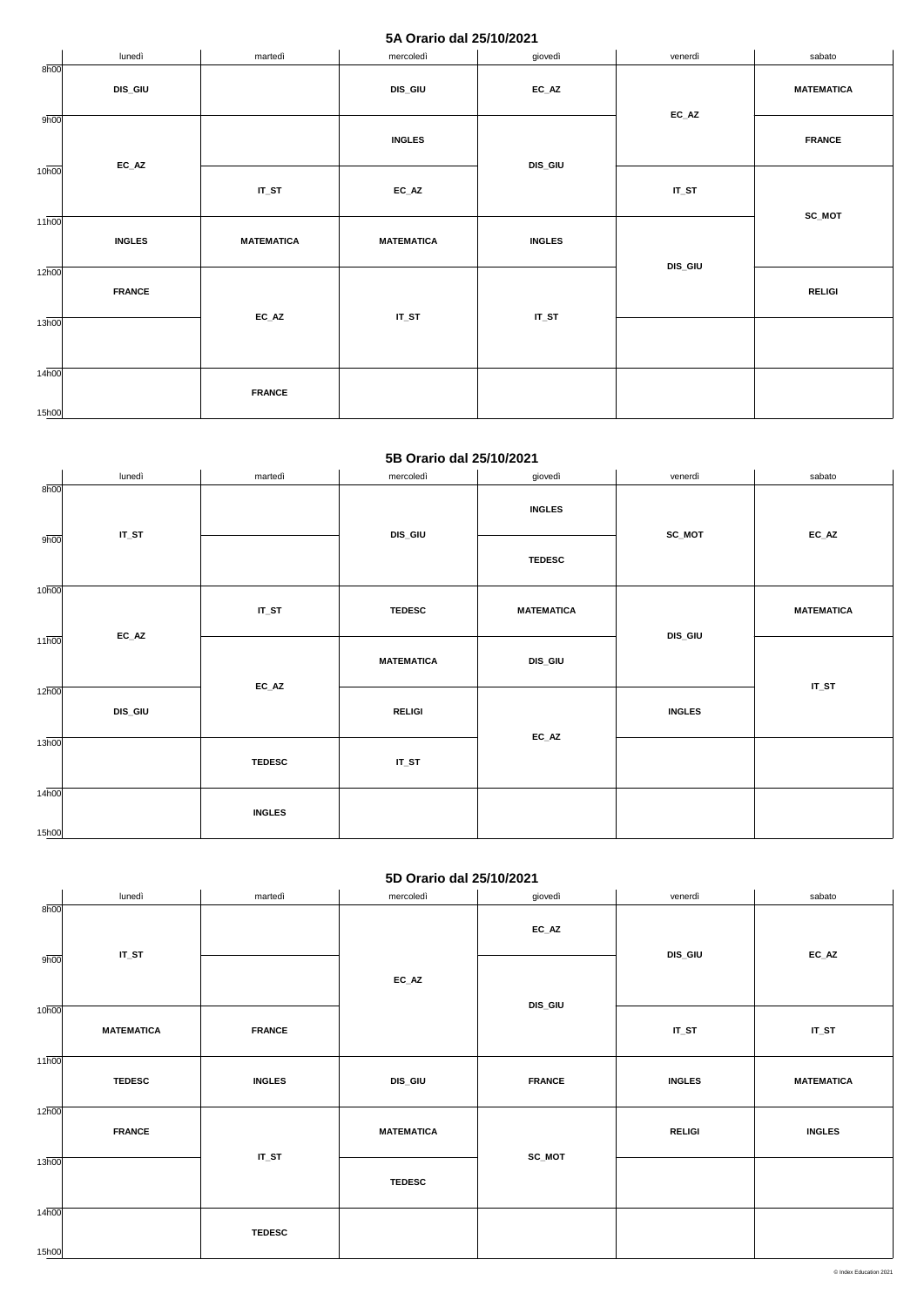### **5A Orario dal 25/10/2021**

|                    | lunedì                     | martedì           | mercoledì                  | giovedì       | venerdì                    | sabato            |
|--------------------|----------------------------|-------------------|----------------------------|---------------|----------------------------|-------------------|
| 8h00               | <b>DIS_GIU</b>             |                   | DIS_GIU                    | $EC\_AZ$      |                            | <b>MATEMATICA</b> |
| 9h00               | $\mathsf{EC}\_\mathsf{AZ}$ |                   | <b>INGLES</b>              | DIS_GIU       | $\mathsf{EC}\_\mathsf{AZ}$ | <b>FRANCE</b>     |
| 10 <sub>h00</sub>  |                            | $IT_ST$           | $\mathsf{EC}\_\mathsf{AZ}$ |               | $IT_ST$                    | SC_MOT            |
| $11\overline{h00}$ | <b>INGLES</b>              | <b>MATEMATICA</b> | <b>MATEMATICA</b>          | <b>INGLES</b> |                            |                   |
| $12\overline{h00}$ | <b>FRANCE</b>              |                   |                            |               | DIS_GIU                    | <b>RELIGI</b>     |
| 13h00              | $EC\_AZ$                   | $IT_ST$           | $IT_ST$                    |               |                            |                   |
| 14h00<br>15h00     |                            | <b>FRANCE</b>     |                            |               |                            |                   |

#### **5B Orario dal 25/10/2021**

|                    | lunedì                     | martedì       | mercoledì         | giovedì           | venerdì       | sabato                     |
|--------------------|----------------------------|---------------|-------------------|-------------------|---------------|----------------------------|
| 8h00               | $IT_ST$                    |               | DIS_GIU           | <b>INGLES</b>     | SC_MOT        | $\mathsf{EC}\_\mathsf{AZ}$ |
| 9h00               |                            |               |                   | <b>TEDESC</b>     |               |                            |
| 10 <sub>h00</sub>  |                            |               |                   |                   |               |                            |
|                    |                            | $IT_ST$       | <b>TEDESC</b>     | <b>MATEMATICA</b> |               | <b>MATEMATICA</b>          |
| $11\overline{h00}$ | $\mathsf{EC}\_\mathsf{AZ}$ |               |                   |                   | DIS_GIU       |                            |
|                    |                            |               | <b>MATEMATICA</b> | DIS_GIU           |               |                            |
| $12\overline{h00}$ |                            | $EC\_AZ$      |                   |                   |               | $IT_ST$                    |
|                    | <b>DIS_GIU</b>             |               | <b>RELIGI</b>     |                   | <b>INGLES</b> |                            |
| 13h00              |                            |               |                   | $EC\_AZ$          |               |                            |
|                    |                            | <b>TEDESC</b> | $IT_ST$           |                   |               |                            |
| 14 <sub>h00</sub>  |                            |               |                   |                   |               |                            |
|                    |                            | <b>INGLES</b> |                   |                   |               |                            |
| 15h00              |                            |               |                   |                   |               |                            |

# **5D Orario dal 25/10/2021**

|      | lunedì  | martedì | mercoledì | giovedì  | venerdì        | sabato  |
|------|---------|---------|-----------|----------|----------------|---------|
| 8h00 |         |         |           |          |                |         |
|      |         |         |           | $EC\_AZ$ |                |         |
| 9h00 | $IT_ST$ |         |           |          | <b>DIS_GIU</b> | $EC_AZ$ |
|      |         |         | $EC\_AZ$  |          |                |         |

|                    |                   | EG_AZ         | <b>DIS_GIU</b>    |               |               |                   |
|--------------------|-------------------|---------------|-------------------|---------------|---------------|-------------------|
| 10 <sub>h00</sub>  | <b>MATEMATICA</b> | <b>FRANCE</b> |                   |               | $IT_ST$       | $IT_ST$           |
| $11\overline{h00}$ | <b>TEDESC</b>     | <b>INGLES</b> | <b>DIS_GIU</b>    | <b>FRANCE</b> | <b>INGLES</b> | <b>MATEMATICA</b> |
| 12h00              | <b>FRANCE</b>     |               | <b>MATEMATICA</b> |               | <b>RELIGI</b> | <b>INGLES</b>     |
| 13h00              |                   | $IT_ST$       | <b>TEDESC</b>     | <b>SC_MOT</b> |               |                   |
| 14h00<br>15h00     |                   | <b>TEDESC</b> |                   |               |               |                   |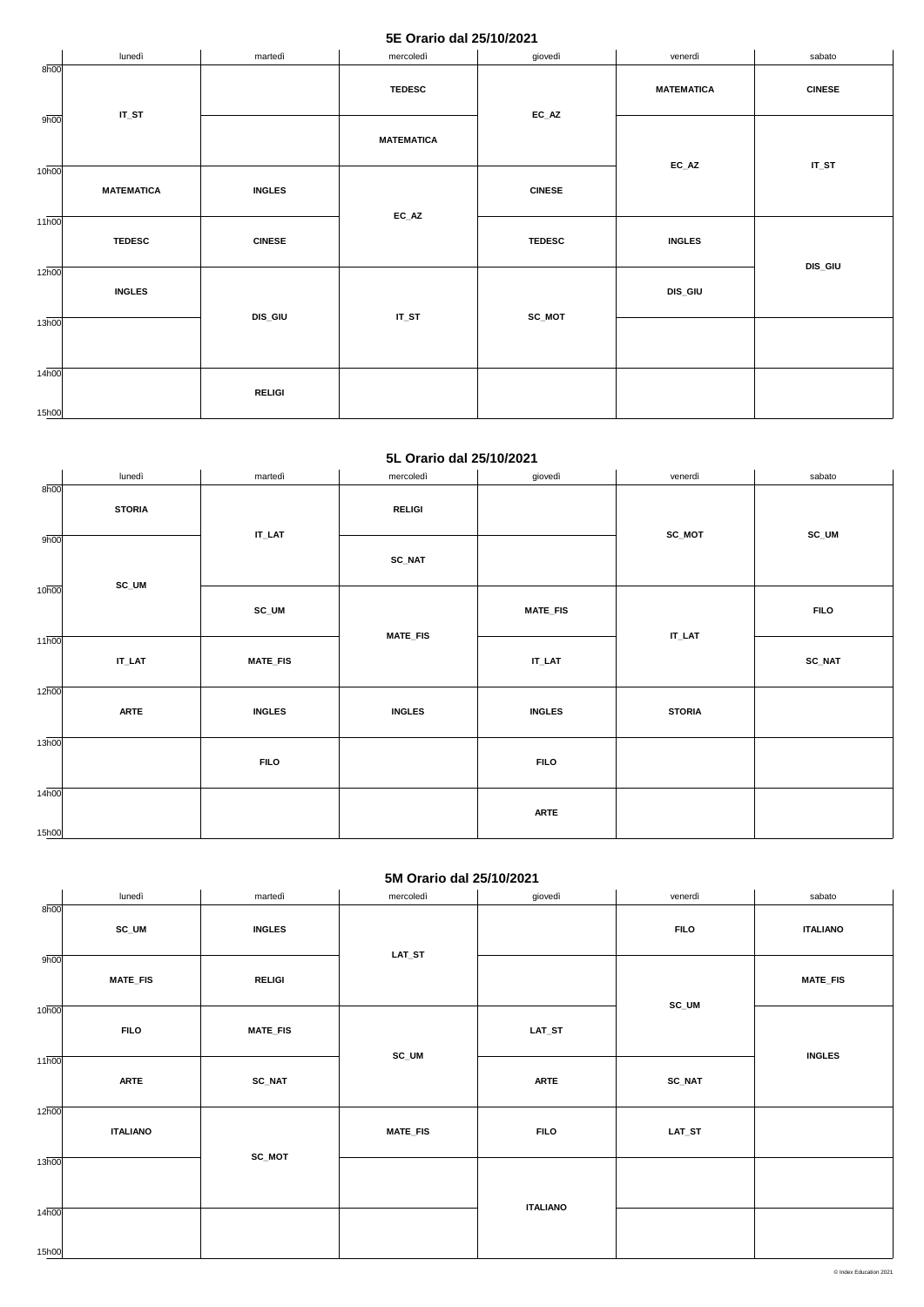#### **5E Orario dal 25/10/2021**

|                             | lunedì            | martedì       | mercoledì         | giovedì       | venerdì                    | sabato         |
|-----------------------------|-------------------|---------------|-------------------|---------------|----------------------------|----------------|
| 8h00                        |                   |               | <b>TEDESC</b>     | $EC\_AZ$      | <b>MATEMATICA</b>          | <b>CINESE</b>  |
| 9h00                        | $IT_ST$           |               | <b>MATEMATICA</b> |               |                            |                |
| 10 <sub>h00</sub>           | <b>MATEMATICA</b> | <b>INGLES</b> | $EC\_AZ$          | <b>CINESE</b> | $\mathsf{EC}\_\mathsf{AZ}$ | $IT_ST$        |
| $11\overline{h00}$          | <b>TEDESC</b>     | <b>CINESE</b> |                   | <b>TEDESC</b> | <b>INGLES</b>              |                |
| $12\overline{h00}$          | <b>INGLES</b>     |               |                   | SC_MOT        | DIS_GIU                    | <b>DIS_GIU</b> |
| 13 <sub>h00</sub>           | <b>DIS_GIU</b>    | $IT_ST$       |                   |               |                            |                |
| $14\overline{h00}$<br>15h00 |                   | <b>RELIGI</b> |                   |               |                            |                |

#### **5L Orario dal 25/10/2021**

|                    | lunedì        | martedì         | mercoledì       | giovedì         | venerdì       | sabato        |
|--------------------|---------------|-----------------|-----------------|-----------------|---------------|---------------|
| 8h00               | <b>STORIA</b> | $IT\_LAT$       | <b>RELIGI</b>   |                 |               |               |
| 9h00               |               |                 | <b>SC_NAT</b>   |                 | SC_MOT        | SC_UM         |
| 10 <sub>h00</sub>  | SC_UM         | SC_UM           |                 | <b>MATE_FIS</b> | $IT$ _LAT     | <b>FILO</b>   |
| $11\overline{h00}$ | $IT\_LAT$     | <b>MATE_FIS</b> | <b>MATE_FIS</b> | $IT\_LAT$       |               | <b>SC_NAT</b> |
| $12\overline{h00}$ | <b>ARTE</b>   | <b>INGLES</b>   | <b>INGLES</b>   | <b>INGLES</b>   | <b>STORIA</b> |               |
| 13h00              |               | <b>FILO</b>     |                 | <b>FILO</b>     |               |               |
| 14h00<br>15h00     |               |                 |                 | <b>ARTE</b>     |               |               |

### **5M Orario dal 25/10/2021**

|                   |                 |                 | $\frac{1}{2}$   |                 |               |                 |
|-------------------|-----------------|-----------------|-----------------|-----------------|---------------|-----------------|
|                   | lunedì          | martedì         | mercoledì       | giovedì         | venerdì       | sabato          |
| $8\overline{h00}$ |                 |                 |                 |                 |               |                 |
|                   | SC_UM           | <b>INGLES</b>   |                 |                 | <b>FILO</b>   | <b>ITALIANO</b> |
|                   |                 |                 |                 |                 |               |                 |
| 9h00              |                 |                 | $LAT\_ST$       |                 |               |                 |
|                   |                 |                 |                 |                 |               |                 |
|                   | <b>MATE_FIS</b> | <b>RELIGI</b>   |                 |                 |               | <b>MATE_FIS</b> |
|                   |                 |                 |                 |                 | SC_UM         |                 |
| 10h00             |                 |                 |                 |                 |               |                 |
|                   | <b>FILO</b>     | <b>MATE_FIS</b> |                 | $LAT\_ST$       |               |                 |
|                   |                 |                 | SC_UM           |                 |               | <b>INGLES</b>   |
| 11h00             |                 |                 |                 |                 |               |                 |
|                   | <b>ARTE</b>     | <b>SC_NAT</b>   |                 | <b>ARTE</b>     | <b>SC_NAT</b> |                 |
|                   |                 |                 |                 |                 |               |                 |
| 12h00             |                 |                 |                 |                 |               |                 |
|                   | <b>ITALIANO</b> |                 | <b>MATE_FIS</b> | <b>FILO</b>     | $LAT\_ST$     |                 |
|                   |                 |                 |                 |                 |               |                 |
| 13h00             |                 | SC_MOT          |                 |                 |               |                 |
|                   |                 |                 |                 |                 |               |                 |
|                   |                 |                 |                 |                 |               |                 |
| 14h00             |                 |                 |                 | <b>ITALIANO</b> |               |                 |
|                   |                 |                 |                 |                 |               |                 |
|                   |                 |                 |                 |                 |               |                 |
| 15h00             |                 |                 |                 |                 |               |                 |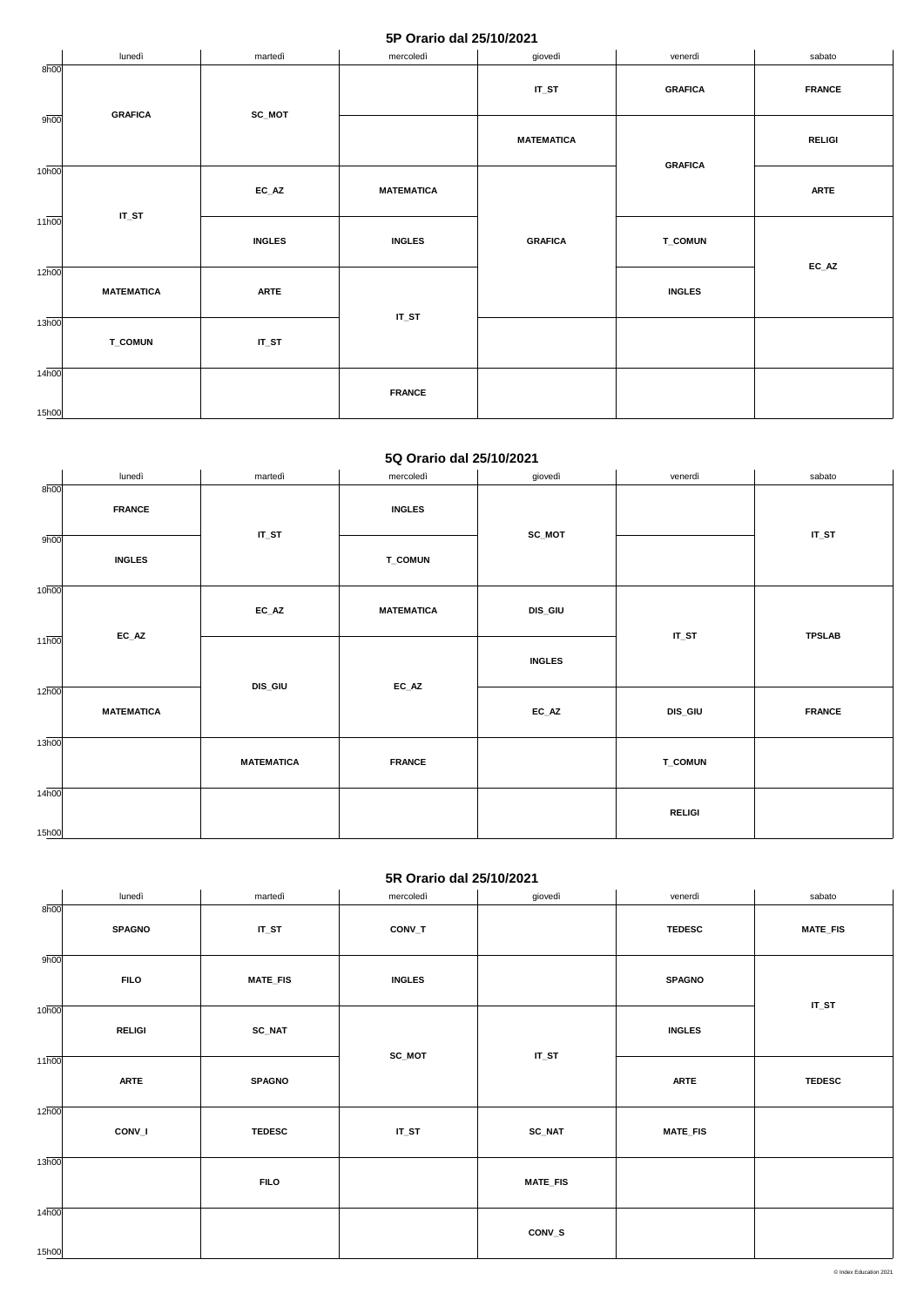### **5P Orario dal 25/10/2021**

|                             | lunedì            | martedì       | mercoledì         | giovedì           | venerdì        | sabato                     |
|-----------------------------|-------------------|---------------|-------------------|-------------------|----------------|----------------------------|
| 8h00                        | <b>GRAFICA</b>    | SC_MOT        |                   | $IT_ST$           | <b>GRAFICA</b> | <b>FRANCE</b>              |
| 9h00                        |                   |               |                   | <b>MATEMATICA</b> | <b>GRAFICA</b> | <b>RELIGI</b>              |
| 10 <sub>h00</sub>           | $IT_ST$           | $EC\_AZ$      | <b>MATEMATICA</b> |                   |                | <b>ARTE</b>                |
| $11\overline{h00}$          |                   | <b>INGLES</b> | <b>INGLES</b>     | <b>GRAFICA</b>    | <b>T_COMUN</b> |                            |
| $12\overline{h00}$          | <b>MATEMATICA</b> | <b>ARTE</b>   |                   |                   | <b>INGLES</b>  | $\mathsf{EC}\_\mathsf{AZ}$ |
| 13 <sub>h00</sub>           | <b>T_COMUN</b>    | $IT_ST$       | $IT_ST$           |                   |                |                            |
| $14\overline{h00}$<br>15h00 |                   |               | <b>FRANCE</b>     |                   |                |                            |

#### **5Q Orario dal 25/10/2021**

|                    | lunedì            | martedì           | mercoledì         | giovedì        | venerdì        | sabato        |
|--------------------|-------------------|-------------------|-------------------|----------------|----------------|---------------|
| 8h00               | <b>FRANCE</b>     | $IT_ST$           | <b>INGLES</b>     | SC_MOT         |                | $IT_ST$       |
| 9h00               | <b>INGLES</b>     |                   | <b>T_COMUN</b>    |                |                |               |
| 10 <sub>h00</sub>  |                   | $EC\_AZ$          | <b>MATEMATICA</b> | <b>DIS_GIU</b> |                | <b>TPSLAB</b> |
| $11\overline{h00}$ | $EC\_AZ$          |                   |                   | <b>INGLES</b>  | $IT_ST$        |               |
| $12\overline{h00}$ | <b>MATEMATICA</b> | <b>DIS_GIU</b>    | $EC\_AZ$          | $EC\_AZ$       | <b>DIS_GIU</b> | <b>FRANCE</b> |
| 13h00              |                   | <b>MATEMATICA</b> | <b>FRANCE</b>     |                | <b>T_COMUN</b> |               |
| 14h00<br>15h00     |                   |                   |                   |                | <b>RELIGI</b>  |               |

## **5R Orario dal 25/10/2021**

|                   | lunedì        | martedì         | mercoledì     | giovedì         | venerdì         | sabato          |
|-------------------|---------------|-----------------|---------------|-----------------|-----------------|-----------------|
| 8h00              | <b>SPAGNO</b> | $IT_ST$         | CONV_T        |                 | <b>TEDESC</b>   | <b>MATE_FIS</b> |
| 9h00              | <b>FILO</b>   | <b>MATE_FIS</b> | <b>INGLES</b> |                 | <b>SPAGNO</b>   | $IT_ST$         |
| 10 <sub>h00</sub> | <b>RELIGI</b> | $SC\_NAT$       |               | $IT_ST$         | <b>INGLES</b>   |                 |
| 11h00             | <b>ARTE</b>   | <b>SPAGNO</b>   | SC_MOT        |                 | <b>ARTE</b>     | <b>TEDESC</b>   |
| 12h00             | CONV_I        | <b>TEDESC</b>   | $IT_ST$       | <b>SC_NAT</b>   | <b>MATE_FIS</b> |                 |
| 13h00             |               | <b>FILO</b>     |               | <b>MATE_FIS</b> |                 |                 |
| 14h00<br>15h00    |               |                 |               | CONV_S          |                 |                 |